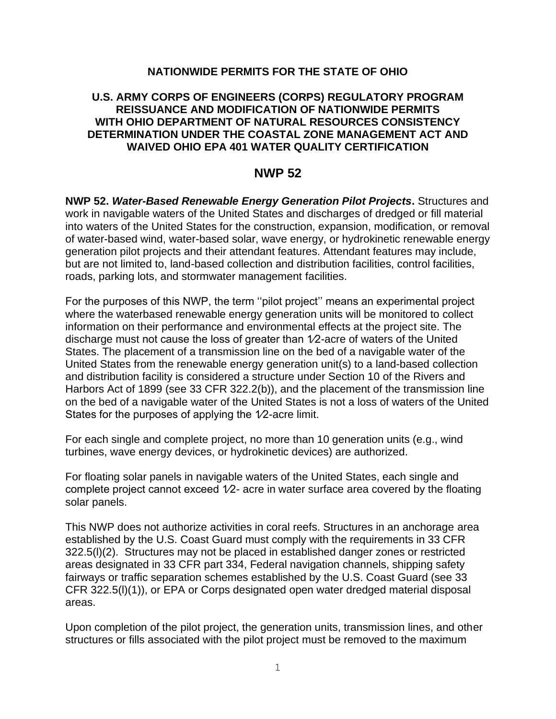#### **NATIONWIDE PERMITS FOR THE STATE OF OHIO**

#### **U.S. ARMY CORPS OF ENGINEERS (CORPS) REGULATORY PROGRAM REISSUANCE AND MODIFICATION OF NATIONWIDE PERMITS WITH OHIO DEPARTMENT OF NATURAL RESOURCES CONSISTENCY DETERMINATION UNDER THE COASTAL ZONE MANAGEMENT ACT AND WAIVED OHIO EPA 401 WATER QUALITY CERTIFICATION**

## **NWP 52**

**NWP 52.** *Water-Based Renewable Energy Generation Pilot Projects***.** Structures and work in navigable waters of the United States and discharges of dredged or fill material into waters of the United States for the construction, expansion, modification, or removal of water-based wind, water-based solar, wave energy, or hydrokinetic renewable energy generation pilot projects and their attendant features. Attendant features may include, but are not limited to, land-based collection and distribution facilities, control facilities, roads, parking lots, and stormwater management facilities.

For the purposes of this NWP, the term ''pilot project'' means an experimental project where the waterbased renewable energy generation units will be monitored to collect information on their performance and environmental effects at the project site. The discharge must not cause the loss of greater than 1⁄2-acre of waters of the United States. The placement of a transmission line on the bed of a navigable water of the United States from the renewable energy generation unit(s) to a land-based collection and distribution facility is considered a structure under Section 10 of the Rivers and Harbors Act of 1899 (see 33 CFR 322.2(b)), and the placement of the transmission line on the bed of a navigable water of the United States is not a loss of waters of the United States for the purposes of applying the 1⁄2-acre limit.

For each single and complete project, no more than 10 generation units (e.g., wind turbines, wave energy devices, or hydrokinetic devices) are authorized.

For floating solar panels in navigable waters of the United States, each single and complete project cannot exceed  $1/2$ - acre in water surface area covered by the floating solar panels.

This NWP does not authorize activities in coral reefs. Structures in an anchorage area established by the U.S. Coast Guard must comply with the requirements in 33 CFR 322.5(l)(2). Structures may not be placed in established danger zones or restricted areas designated in 33 CFR part 334, Federal navigation channels, shipping safety fairways or traffic separation schemes established by the U.S. Coast Guard (see 33 CFR 322.5(l)(1)), or EPA or Corps designated open water dredged material disposal areas.

Upon completion of the pilot project, the generation units, transmission lines, and other structures or fills associated with the pilot project must be removed to the maximum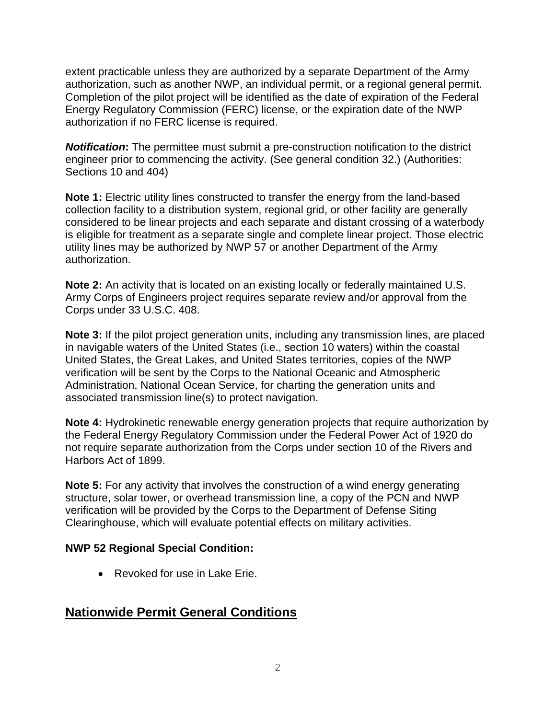extent practicable unless they are authorized by a separate Department of the Army authorization, such as another NWP, an individual permit, or a regional general permit. Completion of the pilot project will be identified as the date of expiration of the Federal Energy Regulatory Commission (FERC) license, or the expiration date of the NWP authorization if no FERC license is required.

*Notification***:** The permittee must submit a pre-construction notification to the district engineer prior to commencing the activity. (See general condition 32.) (Authorities: Sections 10 and 404)

**Note 1:** Electric utility lines constructed to transfer the energy from the land-based collection facility to a distribution system, regional grid, or other facility are generally considered to be linear projects and each separate and distant crossing of a waterbody is eligible for treatment as a separate single and complete linear project. Those electric utility lines may be authorized by NWP 57 or another Department of the Army authorization.

**Note 2:** An activity that is located on an existing locally or federally maintained U.S. Army Corps of Engineers project requires separate review and/or approval from the Corps under 33 U.S.C. 408.

**Note 3:** If the pilot project generation units, including any transmission lines, are placed in navigable waters of the United States (i.e., section 10 waters) within the coastal United States, the Great Lakes, and United States territories, copies of the NWP verification will be sent by the Corps to the National Oceanic and Atmospheric Administration, National Ocean Service, for charting the generation units and associated transmission line(s) to protect navigation.

**Note 4:** Hydrokinetic renewable energy generation projects that require authorization by the Federal Energy Regulatory Commission under the Federal Power Act of 1920 do not require separate authorization from the Corps under section 10 of the Rivers and Harbors Act of 1899.

**Note 5:** For any activity that involves the construction of a wind energy generating structure, solar tower, or overhead transmission line, a copy of the PCN and NWP verification will be provided by the Corps to the Department of Defense Siting Clearinghouse, which will evaluate potential effects on military activities.

#### **NWP 52 Regional Special Condition:**

• Revoked for use in Lake Erie.

# **Nationwide Permit General Conditions**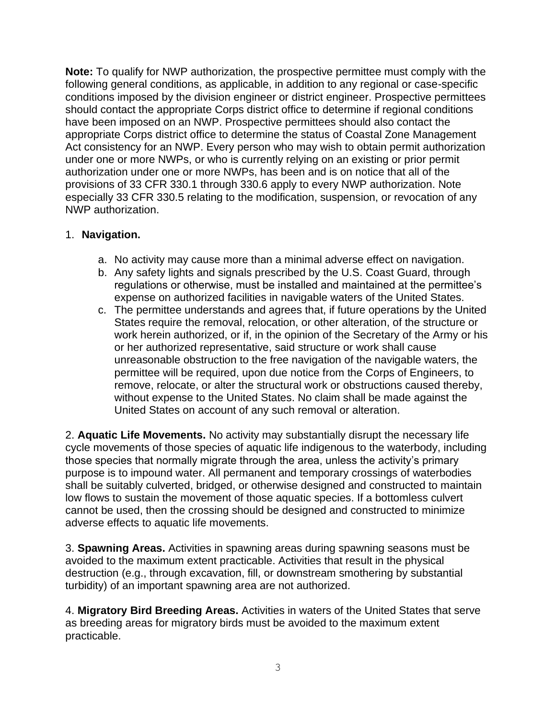**Note:** To qualify for NWP authorization, the prospective permittee must comply with the following general conditions, as applicable, in addition to any regional or case-specific conditions imposed by the division engineer or district engineer. Prospective permittees should contact the appropriate Corps district office to determine if regional conditions have been imposed on an NWP. Prospective permittees should also contact the appropriate Corps district office to determine the status of Coastal Zone Management Act consistency for an NWP. Every person who may wish to obtain permit authorization under one or more NWPs, or who is currently relying on an existing or prior permit authorization under one or more NWPs, has been and is on notice that all of the provisions of 33 CFR 330.1 through 330.6 apply to every NWP authorization. Note especially 33 CFR 330.5 relating to the modification, suspension, or revocation of any NWP authorization.

## 1. **Navigation.**

- a. No activity may cause more than a minimal adverse effect on navigation.
- b. Any safety lights and signals prescribed by the U.S. Coast Guard, through regulations or otherwise, must be installed and maintained at the permittee's expense on authorized facilities in navigable waters of the United States.
- c. The permittee understands and agrees that, if future operations by the United States require the removal, relocation, or other alteration, of the structure or work herein authorized, or if, in the opinion of the Secretary of the Army or his or her authorized representative, said structure or work shall cause unreasonable obstruction to the free navigation of the navigable waters, the permittee will be required, upon due notice from the Corps of Engineers, to remove, relocate, or alter the structural work or obstructions caused thereby, without expense to the United States. No claim shall be made against the United States on account of any such removal or alteration.

2. **Aquatic Life Movements.** No activity may substantially disrupt the necessary life cycle movements of those species of aquatic life indigenous to the waterbody, including those species that normally migrate through the area, unless the activity's primary purpose is to impound water. All permanent and temporary crossings of waterbodies shall be suitably culverted, bridged, or otherwise designed and constructed to maintain low flows to sustain the movement of those aquatic species. If a bottomless culvert cannot be used, then the crossing should be designed and constructed to minimize adverse effects to aquatic life movements.

3. **Spawning Areas.** Activities in spawning areas during spawning seasons must be avoided to the maximum extent practicable. Activities that result in the physical destruction (e.g., through excavation, fill, or downstream smothering by substantial turbidity) of an important spawning area are not authorized.

4. **Migratory Bird Breeding Areas.** Activities in waters of the United States that serve as breeding areas for migratory birds must be avoided to the maximum extent practicable.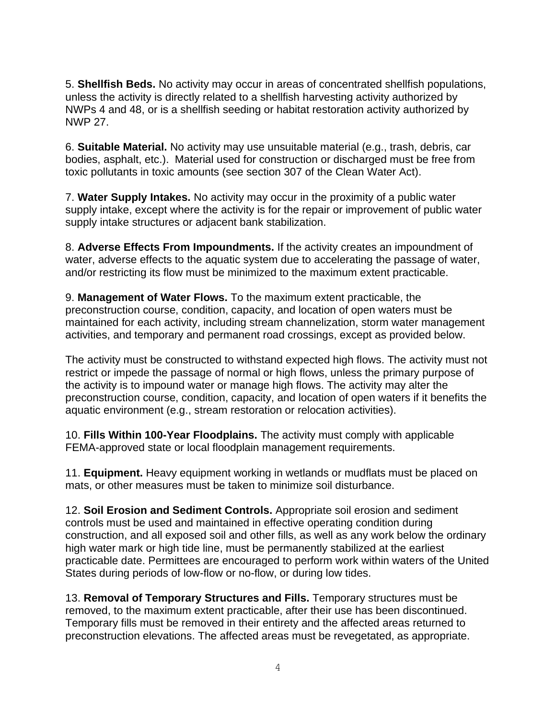5. **Shellfish Beds.** No activity may occur in areas of concentrated shellfish populations, unless the activity is directly related to a shellfish harvesting activity authorized by NWPs 4 and 48, or is a shellfish seeding or habitat restoration activity authorized by NWP 27.

6. **Suitable Material.** No activity may use unsuitable material (e.g., trash, debris, car bodies, asphalt, etc.). Material used for construction or discharged must be free from toxic pollutants in toxic amounts (see section 307 of the Clean Water Act).

7. **Water Supply Intakes.** No activity may occur in the proximity of a public water supply intake, except where the activity is for the repair or improvement of public water supply intake structures or adjacent bank stabilization.

8. **Adverse Effects From Impoundments.** If the activity creates an impoundment of water, adverse effects to the aquatic system due to accelerating the passage of water, and/or restricting its flow must be minimized to the maximum extent practicable.

9. **Management of Water Flows.** To the maximum extent practicable, the preconstruction course, condition, capacity, and location of open waters must be maintained for each activity, including stream channelization, storm water management activities, and temporary and permanent road crossings, except as provided below.

The activity must be constructed to withstand expected high flows. The activity must not restrict or impede the passage of normal or high flows, unless the primary purpose of the activity is to impound water or manage high flows. The activity may alter the preconstruction course, condition, capacity, and location of open waters if it benefits the aquatic environment (e.g., stream restoration or relocation activities).

10. **Fills Within 100-Year Floodplains.** The activity must comply with applicable FEMA-approved state or local floodplain management requirements.

11. **Equipment.** Heavy equipment working in wetlands or mudflats must be placed on mats, or other measures must be taken to minimize soil disturbance.

12. **Soil Erosion and Sediment Controls.** Appropriate soil erosion and sediment controls must be used and maintained in effective operating condition during construction, and all exposed soil and other fills, as well as any work below the ordinary high water mark or high tide line, must be permanently stabilized at the earliest practicable date. Permittees are encouraged to perform work within waters of the United States during periods of low-flow or no-flow, or during low tides.

13. **Removal of Temporary Structures and Fills.** Temporary structures must be removed, to the maximum extent practicable, after their use has been discontinued. Temporary fills must be removed in their entirety and the affected areas returned to preconstruction elevations. The affected areas must be revegetated, as appropriate.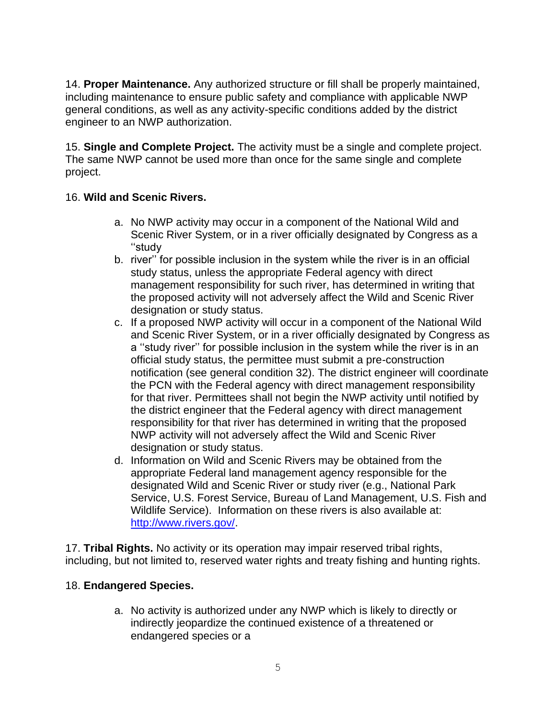14. **Proper Maintenance.** Any authorized structure or fill shall be properly maintained, including maintenance to ensure public safety and compliance with applicable NWP general conditions, as well as any activity-specific conditions added by the district engineer to an NWP authorization.

15. **Single and Complete Project.** The activity must be a single and complete project. The same NWP cannot be used more than once for the same single and complete project.

## 16. **Wild and Scenic Rivers.**

- a. No NWP activity may occur in a component of the National Wild and Scenic River System, or in a river officially designated by Congress as a ''study
- b. river'' for possible inclusion in the system while the river is in an official study status, unless the appropriate Federal agency with direct management responsibility for such river, has determined in writing that the proposed activity will not adversely affect the Wild and Scenic River designation or study status.
- c. If a proposed NWP activity will occur in a component of the National Wild and Scenic River System, or in a river officially designated by Congress as a ''study river'' for possible inclusion in the system while the river is in an official study status, the permittee must submit a pre-construction notification (see general condition 32). The district engineer will coordinate the PCN with the Federal agency with direct management responsibility for that river. Permittees shall not begin the NWP activity until notified by the district engineer that the Federal agency with direct management responsibility for that river has determined in writing that the proposed NWP activity will not adversely affect the Wild and Scenic River designation or study status.
- d. Information on Wild and Scenic Rivers may be obtained from the appropriate Federal land management agency responsible for the designated Wild and Scenic River or study river (e.g., National Park Service, U.S. Forest Service, Bureau of Land Management, U.S. Fish and Wildlife Service). Information on these rivers is also available at: [http://www.rivers.gov/.](http://www.rivers.gov/)

17. **Tribal Rights.** No activity or its operation may impair reserved tribal rights, including, but not limited to, reserved water rights and treaty fishing and hunting rights.

# 18. **Endangered Species.**

a. No activity is authorized under any NWP which is likely to directly or indirectly jeopardize the continued existence of a threatened or endangered species or a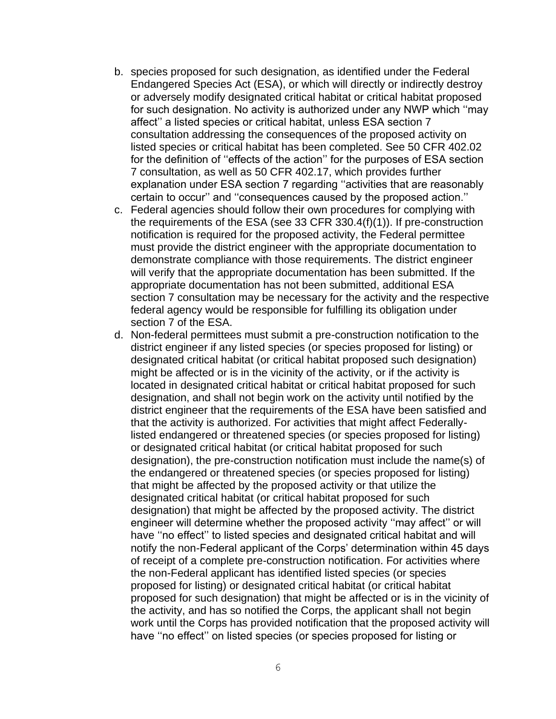- b. species proposed for such designation, as identified under the Federal Endangered Species Act (ESA), or which will directly or indirectly destroy or adversely modify designated critical habitat or critical habitat proposed for such designation. No activity is authorized under any NWP which ''may affect'' a listed species or critical habitat, unless ESA section 7 consultation addressing the consequences of the proposed activity on listed species or critical habitat has been completed. See 50 CFR 402.02 for the definition of ''effects of the action'' for the purposes of ESA section 7 consultation, as well as 50 CFR 402.17, which provides further explanation under ESA section 7 regarding ''activities that are reasonably certain to occur'' and ''consequences caused by the proposed action.''
- c. Federal agencies should follow their own procedures for complying with the requirements of the ESA (see 33 CFR 330.4(f)(1)). If pre-construction notification is required for the proposed activity, the Federal permittee must provide the district engineer with the appropriate documentation to demonstrate compliance with those requirements. The district engineer will verify that the appropriate documentation has been submitted. If the appropriate documentation has not been submitted, additional ESA section 7 consultation may be necessary for the activity and the respective federal agency would be responsible for fulfilling its obligation under section 7 of the ESA.
- d. Non-federal permittees must submit a pre-construction notification to the district engineer if any listed species (or species proposed for listing) or designated critical habitat (or critical habitat proposed such designation) might be affected or is in the vicinity of the activity, or if the activity is located in designated critical habitat or critical habitat proposed for such designation, and shall not begin work on the activity until notified by the district engineer that the requirements of the ESA have been satisfied and that the activity is authorized. For activities that might affect Federallylisted endangered or threatened species (or species proposed for listing) or designated critical habitat (or critical habitat proposed for such designation), the pre-construction notification must include the name(s) of the endangered or threatened species (or species proposed for listing) that might be affected by the proposed activity or that utilize the designated critical habitat (or critical habitat proposed for such designation) that might be affected by the proposed activity. The district engineer will determine whether the proposed activity ''may affect'' or will have ''no effect'' to listed species and designated critical habitat and will notify the non-Federal applicant of the Corps' determination within 45 days of receipt of a complete pre-construction notification. For activities where the non-Federal applicant has identified listed species (or species proposed for listing) or designated critical habitat (or critical habitat proposed for such designation) that might be affected or is in the vicinity of the activity, and has so notified the Corps, the applicant shall not begin work until the Corps has provided notification that the proposed activity will have ''no effect'' on listed species (or species proposed for listing or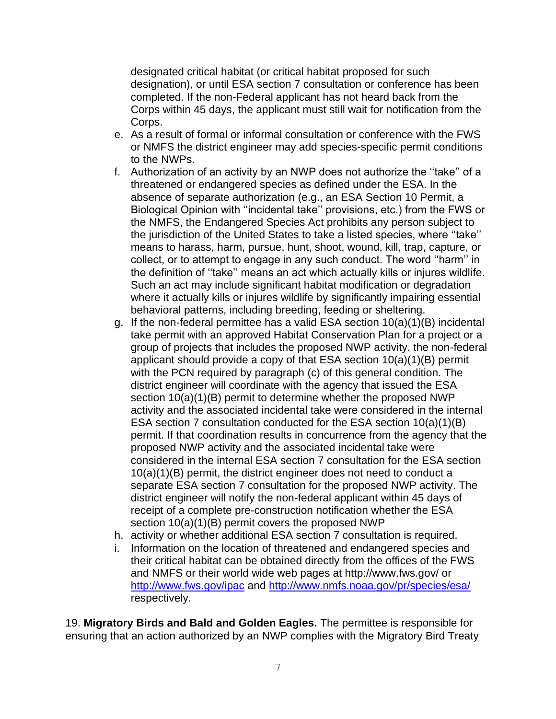designated critical habitat (or critical habitat proposed for such designation), or until ESA section 7 consultation or conference has been completed. If the non-Federal applicant has not heard back from the Corps within 45 days, the applicant must still wait for notification from the Corps.

- e. As a result of formal or informal consultation or conference with the FWS or NMFS the district engineer may add species-specific permit conditions to the NWPs.
- f. Authorization of an activity by an NWP does not authorize the ''take'' of a threatened or endangered species as defined under the ESA. In the absence of separate authorization (e.g., an ESA Section 10 Permit, a Biological Opinion with ''incidental take'' provisions, etc.) from the FWS or the NMFS, the Endangered Species Act prohibits any person subject to the jurisdiction of the United States to take a listed species, where ''take'' means to harass, harm, pursue, hunt, shoot, wound, kill, trap, capture, or collect, or to attempt to engage in any such conduct. The word ''harm'' in the definition of ''take'' means an act which actually kills or injures wildlife. Such an act may include significant habitat modification or degradation where it actually kills or injures wildlife by significantly impairing essential behavioral patterns, including breeding, feeding or sheltering.
- g. If the non-federal permittee has a valid ESA section 10(a)(1)(B) incidental take permit with an approved Habitat Conservation Plan for a project or a group of projects that includes the proposed NWP activity, the non-federal applicant should provide a copy of that ESA section 10(a)(1)(B) permit with the PCN required by paragraph (c) of this general condition. The district engineer will coordinate with the agency that issued the ESA section  $10(a)(1)(B)$  permit to determine whether the proposed NWP activity and the associated incidental take were considered in the internal ESA section 7 consultation conducted for the ESA section 10(a)(1)(B) permit. If that coordination results in concurrence from the agency that the proposed NWP activity and the associated incidental take were considered in the internal ESA section 7 consultation for the ESA section 10(a)(1)(B) permit, the district engineer does not need to conduct a separate ESA section 7 consultation for the proposed NWP activity. The district engineer will notify the non-federal applicant within 45 days of receipt of a complete pre-construction notification whether the ESA section 10(a)(1)(B) permit covers the proposed NWP
- h. activity or whether additional ESA section 7 consultation is required.
- i. Information on the location of threatened and endangered species and their critical habitat can be obtained directly from the offices of the FWS and NMFS or their world wide web pages at http://www.fws.gov/ or <http://www.fws.gov/ipac> and<http://www.nmfs.noaa.gov/pr/species/esa/> respectively.

19. **Migratory Birds and Bald and Golden Eagles.** The permittee is responsible for ensuring that an action authorized by an NWP complies with the Migratory Bird Treaty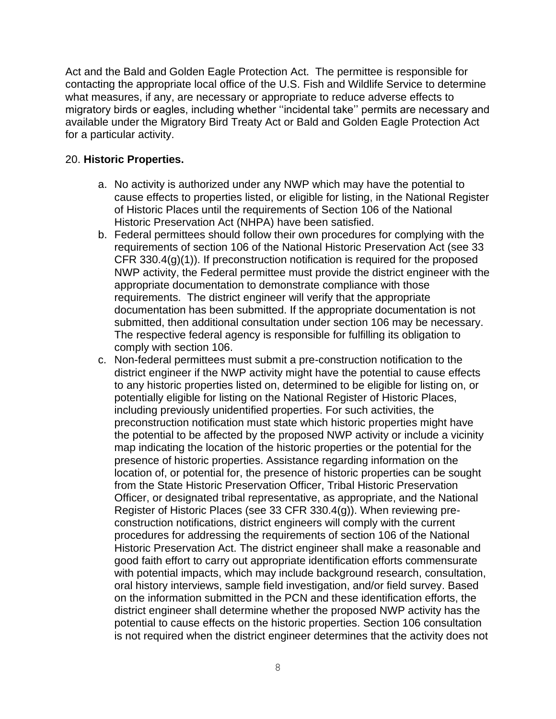Act and the Bald and Golden Eagle Protection Act. The permittee is responsible for contacting the appropriate local office of the U.S. Fish and Wildlife Service to determine what measures, if any, are necessary or appropriate to reduce adverse effects to migratory birds or eagles, including whether ''incidental take'' permits are necessary and available under the Migratory Bird Treaty Act or Bald and Golden Eagle Protection Act for a particular activity.

## 20. **Historic Properties.**

- a. No activity is authorized under any NWP which may have the potential to cause effects to properties listed, or eligible for listing, in the National Register of Historic Places until the requirements of Section 106 of the National Historic Preservation Act (NHPA) have been satisfied.
- b. Federal permittees should follow their own procedures for complying with the requirements of section 106 of the National Historic Preservation Act (see 33 CFR 330.4(g)(1)). If preconstruction notification is required for the proposed NWP activity, the Federal permittee must provide the district engineer with the appropriate documentation to demonstrate compliance with those requirements. The district engineer will verify that the appropriate documentation has been submitted. If the appropriate documentation is not submitted, then additional consultation under section 106 may be necessary. The respective federal agency is responsible for fulfilling its obligation to comply with section 106.
- c. Non-federal permittees must submit a pre-construction notification to the district engineer if the NWP activity might have the potential to cause effects to any historic properties listed on, determined to be eligible for listing on, or potentially eligible for listing on the National Register of Historic Places, including previously unidentified properties. For such activities, the preconstruction notification must state which historic properties might have the potential to be affected by the proposed NWP activity or include a vicinity map indicating the location of the historic properties or the potential for the presence of historic properties. Assistance regarding information on the location of, or potential for, the presence of historic properties can be sought from the State Historic Preservation Officer, Tribal Historic Preservation Officer, or designated tribal representative, as appropriate, and the National Register of Historic Places (see 33 CFR 330.4(g)). When reviewing preconstruction notifications, district engineers will comply with the current procedures for addressing the requirements of section 106 of the National Historic Preservation Act. The district engineer shall make a reasonable and good faith effort to carry out appropriate identification efforts commensurate with potential impacts, which may include background research, consultation, oral history interviews, sample field investigation, and/or field survey. Based on the information submitted in the PCN and these identification efforts, the district engineer shall determine whether the proposed NWP activity has the potential to cause effects on the historic properties. Section 106 consultation is not required when the district engineer determines that the activity does not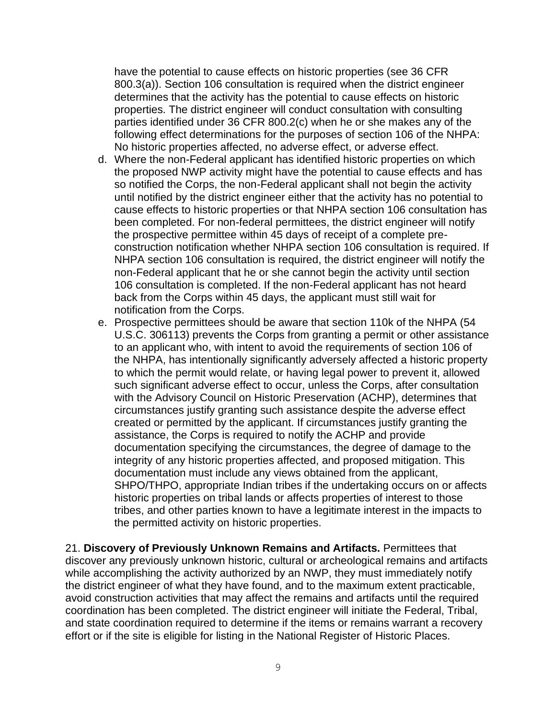have the potential to cause effects on historic properties (see 36 CFR 800.3(a)). Section 106 consultation is required when the district engineer determines that the activity has the potential to cause effects on historic properties. The district engineer will conduct consultation with consulting parties identified under 36 CFR 800.2(c) when he or she makes any of the following effect determinations for the purposes of section 106 of the NHPA: No historic properties affected, no adverse effect, or adverse effect.

- d. Where the non-Federal applicant has identified historic properties on which the proposed NWP activity might have the potential to cause effects and has so notified the Corps, the non-Federal applicant shall not begin the activity until notified by the district engineer either that the activity has no potential to cause effects to historic properties or that NHPA section 106 consultation has been completed. For non-federal permittees, the district engineer will notify the prospective permittee within 45 days of receipt of a complete preconstruction notification whether NHPA section 106 consultation is required. If NHPA section 106 consultation is required, the district engineer will notify the non-Federal applicant that he or she cannot begin the activity until section 106 consultation is completed. If the non-Federal applicant has not heard back from the Corps within 45 days, the applicant must still wait for notification from the Corps.
- e. Prospective permittees should be aware that section 110k of the NHPA (54 U.S.C. 306113) prevents the Corps from granting a permit or other assistance to an applicant who, with intent to avoid the requirements of section 106 of the NHPA, has intentionally significantly adversely affected a historic property to which the permit would relate, or having legal power to prevent it, allowed such significant adverse effect to occur, unless the Corps, after consultation with the Advisory Council on Historic Preservation (ACHP), determines that circumstances justify granting such assistance despite the adverse effect created or permitted by the applicant. If circumstances justify granting the assistance, the Corps is required to notify the ACHP and provide documentation specifying the circumstances, the degree of damage to the integrity of any historic properties affected, and proposed mitigation. This documentation must include any views obtained from the applicant, SHPO/THPO, appropriate Indian tribes if the undertaking occurs on or affects historic properties on tribal lands or affects properties of interest to those tribes, and other parties known to have a legitimate interest in the impacts to the permitted activity on historic properties.

21. **Discovery of Previously Unknown Remains and Artifacts.** Permittees that discover any previously unknown historic, cultural or archeological remains and artifacts while accomplishing the activity authorized by an NWP, they must immediately notify the district engineer of what they have found, and to the maximum extent practicable, avoid construction activities that may affect the remains and artifacts until the required coordination has been completed. The district engineer will initiate the Federal, Tribal, and state coordination required to determine if the items or remains warrant a recovery effort or if the site is eligible for listing in the National Register of Historic Places.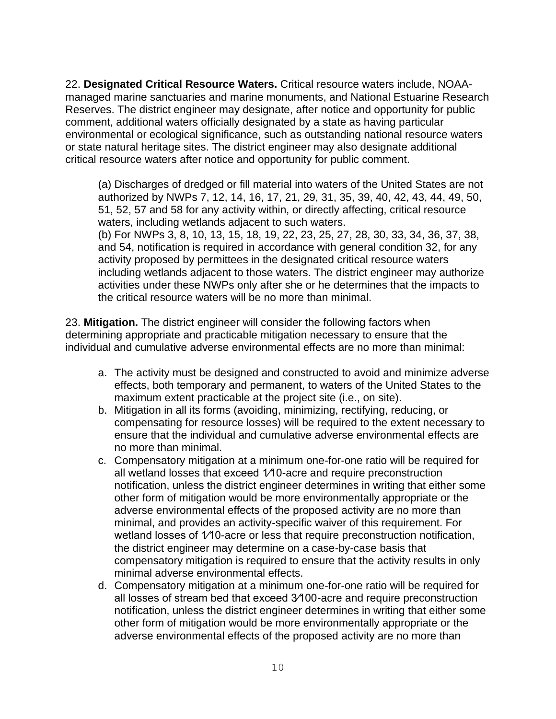22. **Designated Critical Resource Waters.** Critical resource waters include, NOAAmanaged marine sanctuaries and marine monuments, and National Estuarine Research Reserves. The district engineer may designate, after notice and opportunity for public comment, additional waters officially designated by a state as having particular environmental or ecological significance, such as outstanding national resource waters or state natural heritage sites. The district engineer may also designate additional critical resource waters after notice and opportunity for public comment.

(a) Discharges of dredged or fill material into waters of the United States are not authorized by NWPs 7, 12, 14, 16, 17, 21, 29, 31, 35, 39, 40, 42, 43, 44, 49, 50, 51, 52, 57 and 58 for any activity within, or directly affecting, critical resource waters, including wetlands adjacent to such waters. (b) For NWPs 3, 8, 10, 13, 15, 18, 19, 22, 23, 25, 27, 28, 30, 33, 34, 36, 37, 38, and 54, notification is required in accordance with general condition 32, for any activity proposed by permittees in the designated critical resource waters including wetlands adjacent to those waters. The district engineer may authorize activities under these NWPs only after she or he determines that the impacts to the critical resource waters will be no more than minimal.

23. **Mitigation.** The district engineer will consider the following factors when determining appropriate and practicable mitigation necessary to ensure that the individual and cumulative adverse environmental effects are no more than minimal:

- a. The activity must be designed and constructed to avoid and minimize adverse effects, both temporary and permanent, to waters of the United States to the maximum extent practicable at the project site (i.e., on site).
- b. Mitigation in all its forms (avoiding, minimizing, rectifying, reducing, or compensating for resource losses) will be required to the extent necessary to ensure that the individual and cumulative adverse environmental effects are no more than minimal.
- c. Compensatory mitigation at a minimum one-for-one ratio will be required for all wetland losses that exceed 1⁄10-acre and require preconstruction notification, unless the district engineer determines in writing that either some other form of mitigation would be more environmentally appropriate or the adverse environmental effects of the proposed activity are no more than minimal, and provides an activity-specific waiver of this requirement. For wetland losses of 1/10-acre or less that require preconstruction notification, the district engineer may determine on a case-by-case basis that compensatory mitigation is required to ensure that the activity results in only minimal adverse environmental effects.
- d. Compensatory mitigation at a minimum one-for-one ratio will be required for all losses of stream bed that exceed 3⁄100-acre and require preconstruction notification, unless the district engineer determines in writing that either some other form of mitigation would be more environmentally appropriate or the adverse environmental effects of the proposed activity are no more than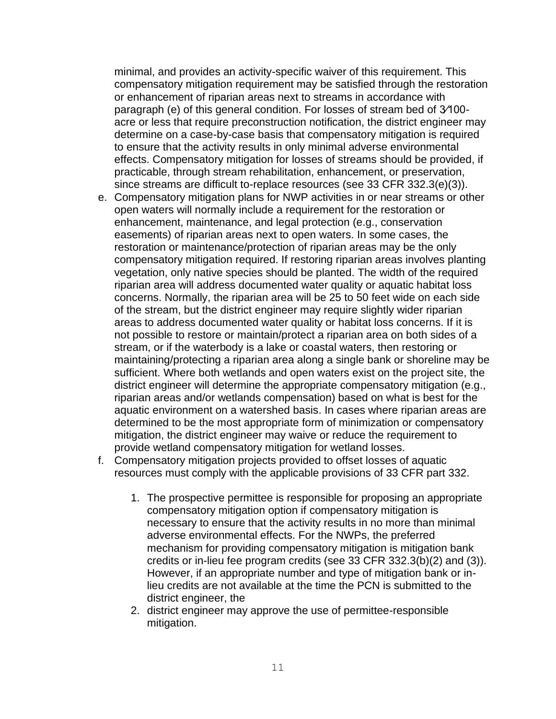minimal, and provides an activity-specific waiver of this requirement. This compensatory mitigation requirement may be satisfied through the restoration or enhancement of riparian areas next to streams in accordance with paragraph (e) of this general condition. For losses of stream bed of 3⁄100 acre or less that require preconstruction notification, the district engineer may determine on a case-by-case basis that compensatory mitigation is required to ensure that the activity results in only minimal adverse environmental effects. Compensatory mitigation for losses of streams should be provided, if practicable, through stream rehabilitation, enhancement, or preservation, since streams are difficult to-replace resources (see 33 CFR 332.3(e)(3)).

- e. Compensatory mitigation plans for NWP activities in or near streams or other open waters will normally include a requirement for the restoration or enhancement, maintenance, and legal protection (e.g., conservation easements) of riparian areas next to open waters. In some cases, the restoration or maintenance/protection of riparian areas may be the only compensatory mitigation required. If restoring riparian areas involves planting vegetation, only native species should be planted. The width of the required riparian area will address documented water quality or aquatic habitat loss concerns. Normally, the riparian area will be 25 to 50 feet wide on each side of the stream, but the district engineer may require slightly wider riparian areas to address documented water quality or habitat loss concerns. If it is not possible to restore or maintain/protect a riparian area on both sides of a stream, or if the waterbody is a lake or coastal waters, then restoring or maintaining/protecting a riparian area along a single bank or shoreline may be sufficient. Where both wetlands and open waters exist on the project site, the district engineer will determine the appropriate compensatory mitigation (e.g., riparian areas and/or wetlands compensation) based on what is best for the aquatic environment on a watershed basis. In cases where riparian areas are determined to be the most appropriate form of minimization or compensatory mitigation, the district engineer may waive or reduce the requirement to provide wetland compensatory mitigation for wetland losses.
- f. Compensatory mitigation projects provided to offset losses of aquatic resources must comply with the applicable provisions of 33 CFR part 332.
	- 1. The prospective permittee is responsible for proposing an appropriate compensatory mitigation option if compensatory mitigation is necessary to ensure that the activity results in no more than minimal adverse environmental effects. For the NWPs, the preferred mechanism for providing compensatory mitigation is mitigation bank credits or in-lieu fee program credits (see 33 CFR 332.3(b)(2) and (3)). However, if an appropriate number and type of mitigation bank or inlieu credits are not available at the time the PCN is submitted to the district engineer, the
	- 2. district engineer may approve the use of permittee-responsible mitigation.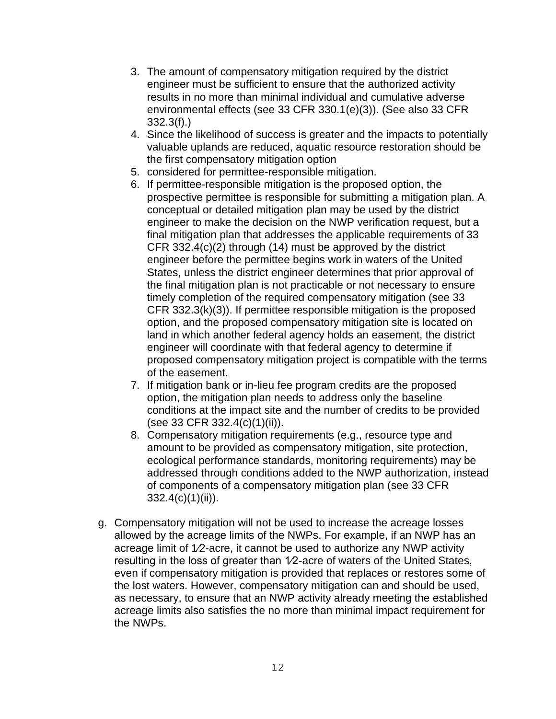- 3. The amount of compensatory mitigation required by the district engineer must be sufficient to ensure that the authorized activity results in no more than minimal individual and cumulative adverse environmental effects (see 33 CFR 330.1(e)(3)). (See also 33 CFR 332.3(f).)
- 4. Since the likelihood of success is greater and the impacts to potentially valuable uplands are reduced, aquatic resource restoration should be the first compensatory mitigation option
- 5. considered for permittee-responsible mitigation.
- 6. If permittee-responsible mitigation is the proposed option, the prospective permittee is responsible for submitting a mitigation plan. A conceptual or detailed mitigation plan may be used by the district engineer to make the decision on the NWP verification request, but a final mitigation plan that addresses the applicable requirements of 33 CFR 332.4(c)(2) through (14) must be approved by the district engineer before the permittee begins work in waters of the United States, unless the district engineer determines that prior approval of the final mitigation plan is not practicable or not necessary to ensure timely completion of the required compensatory mitigation (see 33 CFR 332.3(k)(3)). If permittee responsible mitigation is the proposed option, and the proposed compensatory mitigation site is located on land in which another federal agency holds an easement, the district engineer will coordinate with that federal agency to determine if proposed compensatory mitigation project is compatible with the terms of the easement.
- 7. If mitigation bank or in-lieu fee program credits are the proposed option, the mitigation plan needs to address only the baseline conditions at the impact site and the number of credits to be provided (see 33 CFR 332.4(c)(1)(ii)).
- 8. Compensatory mitigation requirements (e.g., resource type and amount to be provided as compensatory mitigation, site protection, ecological performance standards, monitoring requirements) may be addressed through conditions added to the NWP authorization, instead of components of a compensatory mitigation plan (see 33 CFR  $332.4(c)(1)(ii)$ .
- g. Compensatory mitigation will not be used to increase the acreage losses allowed by the acreage limits of the NWPs. For example, if an NWP has an acreage limit of 1⁄2-acre, it cannot be used to authorize any NWP activity resulting in the loss of greater than 1⁄2-acre of waters of the United States, even if compensatory mitigation is provided that replaces or restores some of the lost waters. However, compensatory mitigation can and should be used, as necessary, to ensure that an NWP activity already meeting the established acreage limits also satisfies the no more than minimal impact requirement for the NWPs.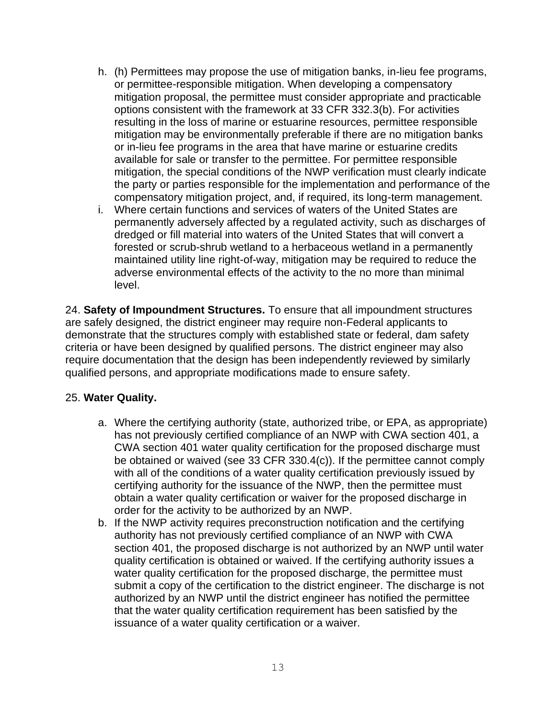- h. (h) Permittees may propose the use of mitigation banks, in-lieu fee programs, or permittee-responsible mitigation. When developing a compensatory mitigation proposal, the permittee must consider appropriate and practicable options consistent with the framework at 33 CFR 332.3(b). For activities resulting in the loss of marine or estuarine resources, permittee responsible mitigation may be environmentally preferable if there are no mitigation banks or in-lieu fee programs in the area that have marine or estuarine credits available for sale or transfer to the permittee. For permittee responsible mitigation, the special conditions of the NWP verification must clearly indicate the party or parties responsible for the implementation and performance of the compensatory mitigation project, and, if required, its long-term management.
- i. Where certain functions and services of waters of the United States are permanently adversely affected by a regulated activity, such as discharges of dredged or fill material into waters of the United States that will convert a forested or scrub-shrub wetland to a herbaceous wetland in a permanently maintained utility line right-of-way, mitigation may be required to reduce the adverse environmental effects of the activity to the no more than minimal level.

24. **Safety of Impoundment Structures.** To ensure that all impoundment structures are safely designed, the district engineer may require non-Federal applicants to demonstrate that the structures comply with established state or federal, dam safety criteria or have been designed by qualified persons. The district engineer may also require documentation that the design has been independently reviewed by similarly qualified persons, and appropriate modifications made to ensure safety.

#### 25. **Water Quality.**

- a. Where the certifying authority (state, authorized tribe, or EPA, as appropriate) has not previously certified compliance of an NWP with CWA section 401, a CWA section 401 water quality certification for the proposed discharge must be obtained or waived (see 33 CFR 330.4(c)). If the permittee cannot comply with all of the conditions of a water quality certification previously issued by certifying authority for the issuance of the NWP, then the permittee must obtain a water quality certification or waiver for the proposed discharge in order for the activity to be authorized by an NWP.
- b. If the NWP activity requires preconstruction notification and the certifying authority has not previously certified compliance of an NWP with CWA section 401, the proposed discharge is not authorized by an NWP until water quality certification is obtained or waived. If the certifying authority issues a water quality certification for the proposed discharge, the permittee must submit a copy of the certification to the district engineer. The discharge is not authorized by an NWP until the district engineer has notified the permittee that the water quality certification requirement has been satisfied by the issuance of a water quality certification or a waiver.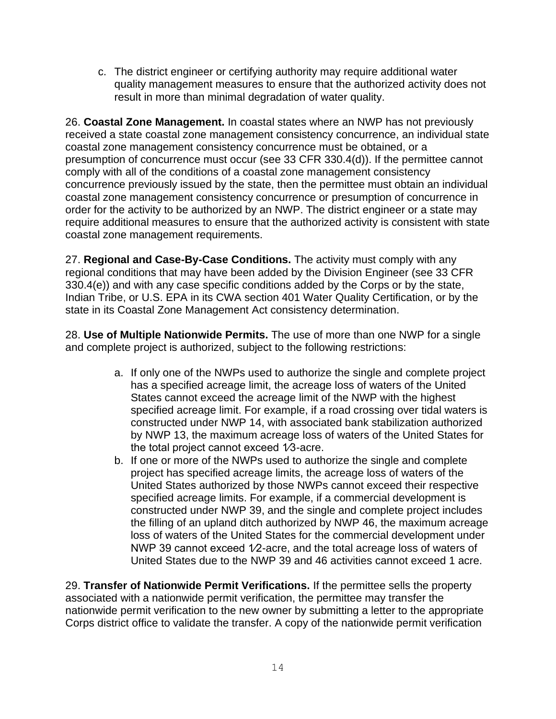c. The district engineer or certifying authority may require additional water quality management measures to ensure that the authorized activity does not result in more than minimal degradation of water quality.

26. **Coastal Zone Management.** In coastal states where an NWP has not previously received a state coastal zone management consistency concurrence, an individual state coastal zone management consistency concurrence must be obtained, or a presumption of concurrence must occur (see 33 CFR 330.4(d)). If the permittee cannot comply with all of the conditions of a coastal zone management consistency concurrence previously issued by the state, then the permittee must obtain an individual coastal zone management consistency concurrence or presumption of concurrence in order for the activity to be authorized by an NWP. The district engineer or a state may require additional measures to ensure that the authorized activity is consistent with state coastal zone management requirements.

27. **Regional and Case-By-Case Conditions.** The activity must comply with any regional conditions that may have been added by the Division Engineer (see 33 CFR 330.4(e)) and with any case specific conditions added by the Corps or by the state, Indian Tribe, or U.S. EPA in its CWA section 401 Water Quality Certification, or by the state in its Coastal Zone Management Act consistency determination.

28. **Use of Multiple Nationwide Permits.** The use of more than one NWP for a single and complete project is authorized, subject to the following restrictions:

- a. If only one of the NWPs used to authorize the single and complete project has a specified acreage limit, the acreage loss of waters of the United States cannot exceed the acreage limit of the NWP with the highest specified acreage limit. For example, if a road crossing over tidal waters is constructed under NWP 14, with associated bank stabilization authorized by NWP 13, the maximum acreage loss of waters of the United States for the total project cannot exceed 1⁄3-acre.
- b. If one or more of the NWPs used to authorize the single and complete project has specified acreage limits, the acreage loss of waters of the United States authorized by those NWPs cannot exceed their respective specified acreage limits. For example, if a commercial development is constructed under NWP 39, and the single and complete project includes the filling of an upland ditch authorized by NWP 46, the maximum acreage loss of waters of the United States for the commercial development under NWP 39 cannot exceed 1/2-acre, and the total acreage loss of waters of United States due to the NWP 39 and 46 activities cannot exceed 1 acre.

29. **Transfer of Nationwide Permit Verifications.** If the permittee sells the property associated with a nationwide permit verification, the permittee may transfer the nationwide permit verification to the new owner by submitting a letter to the appropriate Corps district office to validate the transfer. A copy of the nationwide permit verification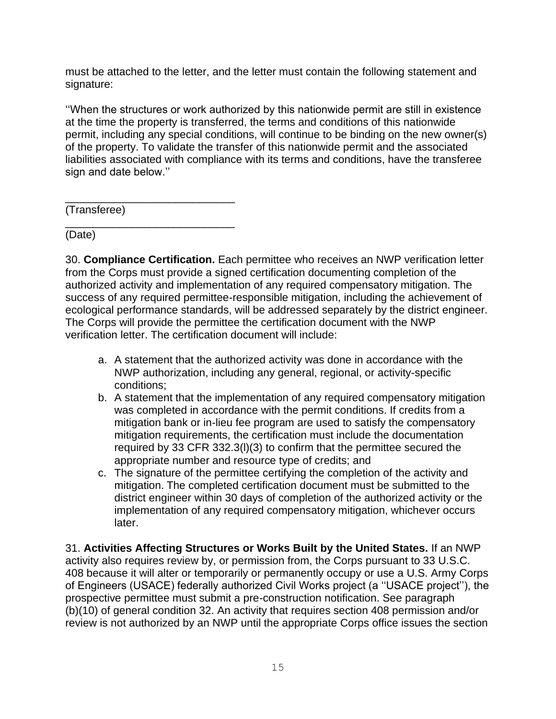must be attached to the letter, and the letter must contain the following statement and signature:

''When the structures or work authorized by this nationwide permit are still in existence at the time the property is transferred, the terms and conditions of this nationwide permit, including any special conditions, will continue to be binding on the new owner(s) of the property. To validate the transfer of this nationwide permit and the associated liabilities associated with compliance with its terms and conditions, have the transferee sign and date below.''

\_\_\_\_\_\_\_\_\_\_\_\_\_\_\_\_\_\_\_\_\_\_\_\_\_\_\_\_ (Transferee)

\_\_\_\_\_\_\_\_\_\_\_\_\_\_\_\_\_\_\_\_\_\_\_\_\_\_\_\_

(Date)

30. **Compliance Certification.** Each permittee who receives an NWP verification letter from the Corps must provide a signed certification documenting completion of the authorized activity and implementation of any required compensatory mitigation. The success of any required permittee-responsible mitigation, including the achievement of ecological performance standards, will be addressed separately by the district engineer. The Corps will provide the permittee the certification document with the NWP verification letter. The certification document will include:

- a. A statement that the authorized activity was done in accordance with the NWP authorization, including any general, regional, or activity-specific conditions;
- b. A statement that the implementation of any required compensatory mitigation was completed in accordance with the permit conditions. If credits from a mitigation bank or in-lieu fee program are used to satisfy the compensatory mitigation requirements, the certification must include the documentation required by 33 CFR 332.3(l)(3) to confirm that the permittee secured the appropriate number and resource type of credits; and
- c. The signature of the permittee certifying the completion of the activity and mitigation. The completed certification document must be submitted to the district engineer within 30 days of completion of the authorized activity or the implementation of any required compensatory mitigation, whichever occurs later.

31. **Activities Affecting Structures or Works Built by the United States.** If an NWP activity also requires review by, or permission from, the Corps pursuant to 33 U.S.C. 408 because it will alter or temporarily or permanently occupy or use a U.S. Army Corps of Engineers (USACE) federally authorized Civil Works project (a ''USACE project''), the prospective permittee must submit a pre-construction notification. See paragraph (b)(10) of general condition 32. An activity that requires section 408 permission and/or review is not authorized by an NWP until the appropriate Corps office issues the section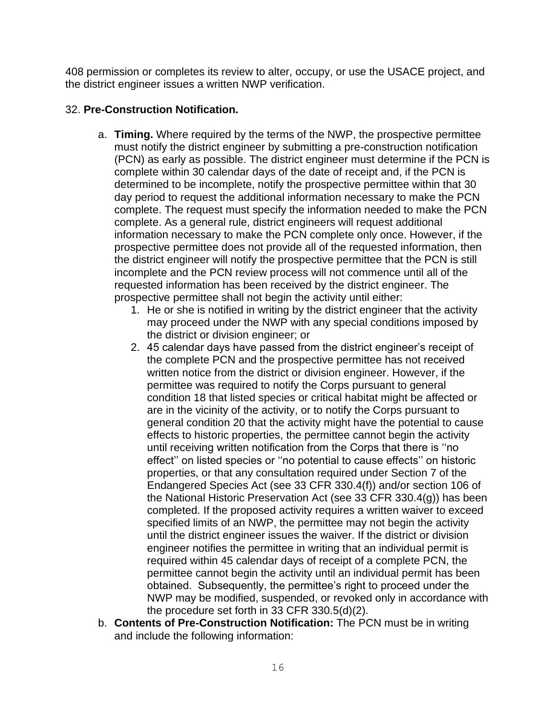408 permission or completes its review to alter, occupy, or use the USACE project, and the district engineer issues a written NWP verification.

## 32. **Pre-Construction Notification.**

- a. **Timing.** Where required by the terms of the NWP, the prospective permittee must notify the district engineer by submitting a pre-construction notification (PCN) as early as possible. The district engineer must determine if the PCN is complete within 30 calendar days of the date of receipt and, if the PCN is determined to be incomplete, notify the prospective permittee within that 30 day period to request the additional information necessary to make the PCN complete. The request must specify the information needed to make the PCN complete. As a general rule, district engineers will request additional information necessary to make the PCN complete only once. However, if the prospective permittee does not provide all of the requested information, then the district engineer will notify the prospective permittee that the PCN is still incomplete and the PCN review process will not commence until all of the requested information has been received by the district engineer. The prospective permittee shall not begin the activity until either:
	- 1. He or she is notified in writing by the district engineer that the activity may proceed under the NWP with any special conditions imposed by the district or division engineer; or
	- 2. 45 calendar days have passed from the district engineer's receipt of the complete PCN and the prospective permittee has not received written notice from the district or division engineer. However, if the permittee was required to notify the Corps pursuant to general condition 18 that listed species or critical habitat might be affected or are in the vicinity of the activity, or to notify the Corps pursuant to general condition 20 that the activity might have the potential to cause effects to historic properties, the permittee cannot begin the activity until receiving written notification from the Corps that there is ''no effect'' on listed species or ''no potential to cause effects'' on historic properties, or that any consultation required under Section 7 of the Endangered Species Act (see 33 CFR 330.4(f)) and/or section 106 of the National Historic Preservation Act (see 33 CFR 330.4(g)) has been completed. If the proposed activity requires a written waiver to exceed specified limits of an NWP, the permittee may not begin the activity until the district engineer issues the waiver. If the district or division engineer notifies the permittee in writing that an individual permit is required within 45 calendar days of receipt of a complete PCN, the permittee cannot begin the activity until an individual permit has been obtained. Subsequently, the permittee's right to proceed under the NWP may be modified, suspended, or revoked only in accordance with the procedure set forth in 33 CFR 330.5(d)(2).
- b. **Contents of Pre-Construction Notification:** The PCN must be in writing and include the following information: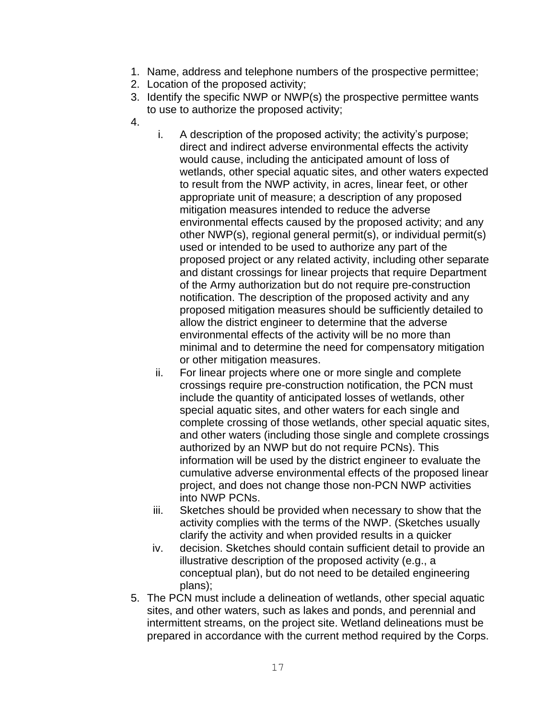- 1. Name, address and telephone numbers of the prospective permittee;
- 2. Location of the proposed activity;
- 3. Identify the specific NWP or NWP(s) the prospective permittee wants to use to authorize the proposed activity;
- 4.
- i. A description of the proposed activity; the activity's purpose; direct and indirect adverse environmental effects the activity would cause, including the anticipated amount of loss of wetlands, other special aquatic sites, and other waters expected to result from the NWP activity, in acres, linear feet, or other appropriate unit of measure; a description of any proposed mitigation measures intended to reduce the adverse environmental effects caused by the proposed activity; and any other NWP(s), regional general permit(s), or individual permit(s) used or intended to be used to authorize any part of the proposed project or any related activity, including other separate and distant crossings for linear projects that require Department of the Army authorization but do not require pre-construction notification. The description of the proposed activity and any proposed mitigation measures should be sufficiently detailed to allow the district engineer to determine that the adverse environmental effects of the activity will be no more than minimal and to determine the need for compensatory mitigation or other mitigation measures.
- ii. For linear projects where one or more single and complete crossings require pre-construction notification, the PCN must include the quantity of anticipated losses of wetlands, other special aquatic sites, and other waters for each single and complete crossing of those wetlands, other special aquatic sites, and other waters (including those single and complete crossings authorized by an NWP but do not require PCNs). This information will be used by the district engineer to evaluate the cumulative adverse environmental effects of the proposed linear project, and does not change those non-PCN NWP activities into NWP PCNs.
- iii. Sketches should be provided when necessary to show that the activity complies with the terms of the NWP. (Sketches usually clarify the activity and when provided results in a quicker
- iv. decision. Sketches should contain sufficient detail to provide an illustrative description of the proposed activity (e.g., a conceptual plan), but do not need to be detailed engineering plans);
- 5. The PCN must include a delineation of wetlands, other special aquatic sites, and other waters, such as lakes and ponds, and perennial and intermittent streams, on the project site. Wetland delineations must be prepared in accordance with the current method required by the Corps.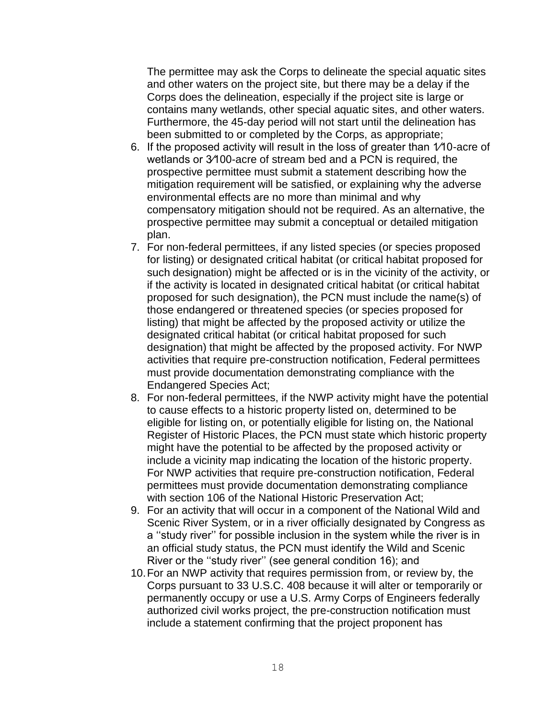The permittee may ask the Corps to delineate the special aquatic sites and other waters on the project site, but there may be a delay if the Corps does the delineation, especially if the project site is large or contains many wetlands, other special aquatic sites, and other waters. Furthermore, the 45-day period will not start until the delineation has been submitted to or completed by the Corps, as appropriate;

- 6. If the proposed activity will result in the loss of greater than 1⁄10-acre of wetlands or 3⁄100-acre of stream bed and a PCN is required, the prospective permittee must submit a statement describing how the mitigation requirement will be satisfied, or explaining why the adverse environmental effects are no more than minimal and why compensatory mitigation should not be required. As an alternative, the prospective permittee may submit a conceptual or detailed mitigation plan.
- 7. For non-federal permittees, if any listed species (or species proposed for listing) or designated critical habitat (or critical habitat proposed for such designation) might be affected or is in the vicinity of the activity, or if the activity is located in designated critical habitat (or critical habitat proposed for such designation), the PCN must include the name(s) of those endangered or threatened species (or species proposed for listing) that might be affected by the proposed activity or utilize the designated critical habitat (or critical habitat proposed for such designation) that might be affected by the proposed activity. For NWP activities that require pre-construction notification, Federal permittees must provide documentation demonstrating compliance with the Endangered Species Act;
- 8. For non-federal permittees, if the NWP activity might have the potential to cause effects to a historic property listed on, determined to be eligible for listing on, or potentially eligible for listing on, the National Register of Historic Places, the PCN must state which historic property might have the potential to be affected by the proposed activity or include a vicinity map indicating the location of the historic property. For NWP activities that require pre-construction notification, Federal permittees must provide documentation demonstrating compliance with section 106 of the National Historic Preservation Act;
- 9. For an activity that will occur in a component of the National Wild and Scenic River System, or in a river officially designated by Congress as a ''study river'' for possible inclusion in the system while the river is in an official study status, the PCN must identify the Wild and Scenic River or the ''study river'' (see general condition 16); and
- 10.For an NWP activity that requires permission from, or review by, the Corps pursuant to 33 U.S.C. 408 because it will alter or temporarily or permanently occupy or use a U.S. Army Corps of Engineers federally authorized civil works project, the pre-construction notification must include a statement confirming that the project proponent has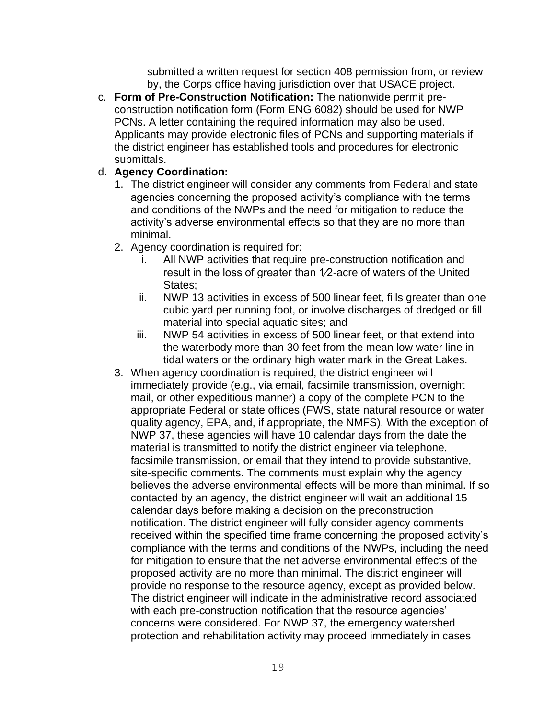submitted a written request for section 408 permission from, or review by, the Corps office having jurisdiction over that USACE project.

c. **Form of Pre-Construction Notification:** The nationwide permit preconstruction notification form (Form ENG 6082) should be used for NWP PCNs. A letter containing the required information may also be used. Applicants may provide electronic files of PCNs and supporting materials if the district engineer has established tools and procedures for electronic submittals.

## d. **Agency Coordination:**

- 1. The district engineer will consider any comments from Federal and state agencies concerning the proposed activity's compliance with the terms and conditions of the NWPs and the need for mitigation to reduce the activity's adverse environmental effects so that they are no more than minimal.
- 2. Agency coordination is required for:
	- i. All NWP activities that require pre-construction notification and result in the loss of greater than 1⁄2-acre of waters of the United States;
	- ii. NWP 13 activities in excess of 500 linear feet, fills greater than one cubic yard per running foot, or involve discharges of dredged or fill material into special aquatic sites; and
	- iii. NWP 54 activities in excess of 500 linear feet, or that extend into the waterbody more than 30 feet from the mean low water line in tidal waters or the ordinary high water mark in the Great Lakes.
- 3. When agency coordination is required, the district engineer will immediately provide (e.g., via email, facsimile transmission, overnight mail, or other expeditious manner) a copy of the complete PCN to the appropriate Federal or state offices (FWS, state natural resource or water quality agency, EPA, and, if appropriate, the NMFS). With the exception of NWP 37, these agencies will have 10 calendar days from the date the material is transmitted to notify the district engineer via telephone, facsimile transmission, or email that they intend to provide substantive, site-specific comments. The comments must explain why the agency believes the adverse environmental effects will be more than minimal. If so contacted by an agency, the district engineer will wait an additional 15 calendar days before making a decision on the preconstruction notification. The district engineer will fully consider agency comments received within the specified time frame concerning the proposed activity's compliance with the terms and conditions of the NWPs, including the need for mitigation to ensure that the net adverse environmental effects of the proposed activity are no more than minimal. The district engineer will provide no response to the resource agency, except as provided below. The district engineer will indicate in the administrative record associated with each pre-construction notification that the resource agencies' concerns were considered. For NWP 37, the emergency watershed protection and rehabilitation activity may proceed immediately in cases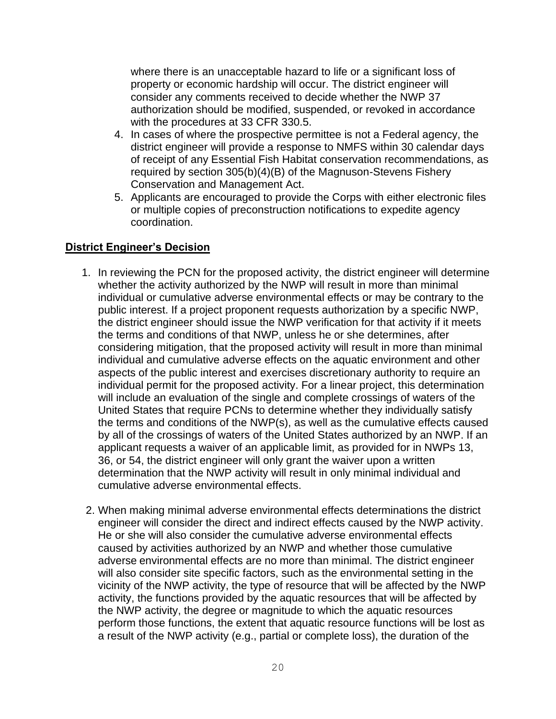where there is an unacceptable hazard to life or a significant loss of property or economic hardship will occur. The district engineer will consider any comments received to decide whether the NWP 37 authorization should be modified, suspended, or revoked in accordance with the procedures at 33 CFR 330.5.

- 4. In cases of where the prospective permittee is not a Federal agency, the district engineer will provide a response to NMFS within 30 calendar days of receipt of any Essential Fish Habitat conservation recommendations, as required by section 305(b)(4)(B) of the Magnuson-Stevens Fishery Conservation and Management Act.
- 5. Applicants are encouraged to provide the Corps with either electronic files or multiple copies of preconstruction notifications to expedite agency coordination.

## **District Engineer's Decision**

- 1. In reviewing the PCN for the proposed activity, the district engineer will determine whether the activity authorized by the NWP will result in more than minimal individual or cumulative adverse environmental effects or may be contrary to the public interest. If a project proponent requests authorization by a specific NWP, the district engineer should issue the NWP verification for that activity if it meets the terms and conditions of that NWP, unless he or she determines, after considering mitigation, that the proposed activity will result in more than minimal individual and cumulative adverse effects on the aquatic environment and other aspects of the public interest and exercises discretionary authority to require an individual permit for the proposed activity. For a linear project, this determination will include an evaluation of the single and complete crossings of waters of the United States that require PCNs to determine whether they individually satisfy the terms and conditions of the NWP(s), as well as the cumulative effects caused by all of the crossings of waters of the United States authorized by an NWP. If an applicant requests a waiver of an applicable limit, as provided for in NWPs 13, 36, or 54, the district engineer will only grant the waiver upon a written determination that the NWP activity will result in only minimal individual and cumulative adverse environmental effects.
- 2. When making minimal adverse environmental effects determinations the district engineer will consider the direct and indirect effects caused by the NWP activity. He or she will also consider the cumulative adverse environmental effects caused by activities authorized by an NWP and whether those cumulative adverse environmental effects are no more than minimal. The district engineer will also consider site specific factors, such as the environmental setting in the vicinity of the NWP activity, the type of resource that will be affected by the NWP activity, the functions provided by the aquatic resources that will be affected by the NWP activity, the degree or magnitude to which the aquatic resources perform those functions, the extent that aquatic resource functions will be lost as a result of the NWP activity (e.g., partial or complete loss), the duration of the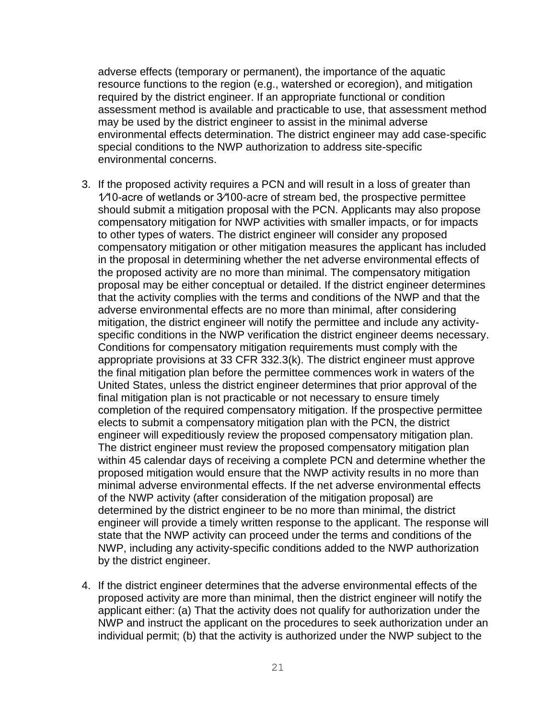adverse effects (temporary or permanent), the importance of the aquatic resource functions to the region (e.g., watershed or ecoregion), and mitigation required by the district engineer. If an appropriate functional or condition assessment method is available and practicable to use, that assessment method may be used by the district engineer to assist in the minimal adverse environmental effects determination. The district engineer may add case-specific special conditions to the NWP authorization to address site-specific environmental concerns.

- 3. If the proposed activity requires a PCN and will result in a loss of greater than 1⁄10-acre of wetlands or 3⁄100-acre of stream bed, the prospective permittee should submit a mitigation proposal with the PCN. Applicants may also propose compensatory mitigation for NWP activities with smaller impacts, or for impacts to other types of waters. The district engineer will consider any proposed compensatory mitigation or other mitigation measures the applicant has included in the proposal in determining whether the net adverse environmental effects of the proposed activity are no more than minimal. The compensatory mitigation proposal may be either conceptual or detailed. If the district engineer determines that the activity complies with the terms and conditions of the NWP and that the adverse environmental effects are no more than minimal, after considering mitigation, the district engineer will notify the permittee and include any activityspecific conditions in the NWP verification the district engineer deems necessary. Conditions for compensatory mitigation requirements must comply with the appropriate provisions at 33 CFR 332.3(k). The district engineer must approve the final mitigation plan before the permittee commences work in waters of the United States, unless the district engineer determines that prior approval of the final mitigation plan is not practicable or not necessary to ensure timely completion of the required compensatory mitigation. If the prospective permittee elects to submit a compensatory mitigation plan with the PCN, the district engineer will expeditiously review the proposed compensatory mitigation plan. The district engineer must review the proposed compensatory mitigation plan within 45 calendar days of receiving a complete PCN and determine whether the proposed mitigation would ensure that the NWP activity results in no more than minimal adverse environmental effects. If the net adverse environmental effects of the NWP activity (after consideration of the mitigation proposal) are determined by the district engineer to be no more than minimal, the district engineer will provide a timely written response to the applicant. The response will state that the NWP activity can proceed under the terms and conditions of the NWP, including any activity-specific conditions added to the NWP authorization by the district engineer.
- 4. If the district engineer determines that the adverse environmental effects of the proposed activity are more than minimal, then the district engineer will notify the applicant either: (a) That the activity does not qualify for authorization under the NWP and instruct the applicant on the procedures to seek authorization under an individual permit; (b) that the activity is authorized under the NWP subject to the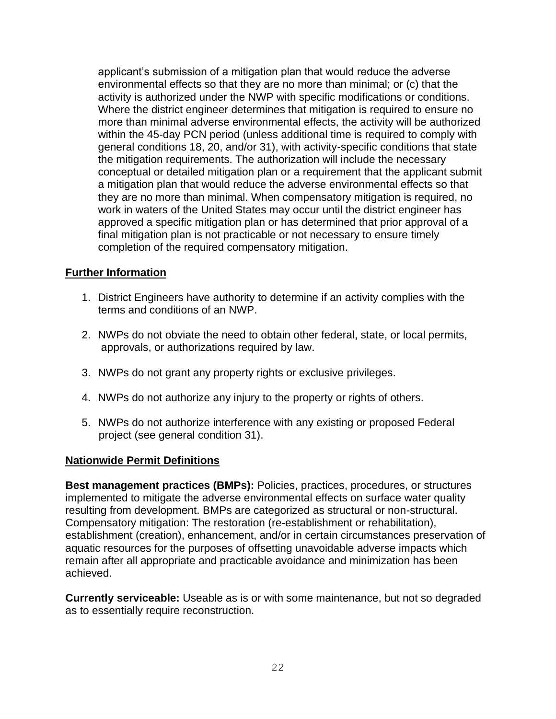applicant's submission of a mitigation plan that would reduce the adverse environmental effects so that they are no more than minimal; or (c) that the activity is authorized under the NWP with specific modifications or conditions. Where the district engineer determines that mitigation is required to ensure no more than minimal adverse environmental effects, the activity will be authorized within the 45-day PCN period (unless additional time is required to comply with general conditions 18, 20, and/or 31), with activity-specific conditions that state the mitigation requirements. The authorization will include the necessary conceptual or detailed mitigation plan or a requirement that the applicant submit a mitigation plan that would reduce the adverse environmental effects so that they are no more than minimal. When compensatory mitigation is required, no work in waters of the United States may occur until the district engineer has approved a specific mitigation plan or has determined that prior approval of a final mitigation plan is not practicable or not necessary to ensure timely completion of the required compensatory mitigation.

## **Further Information**

- 1. District Engineers have authority to determine if an activity complies with the terms and conditions of an NWP.
- 2. NWPs do not obviate the need to obtain other federal, state, or local permits, approvals, or authorizations required by law.
- 3. NWPs do not grant any property rights or exclusive privileges.
- 4. NWPs do not authorize any injury to the property or rights of others.
- 5. NWPs do not authorize interference with any existing or proposed Federal project (see general condition 31).

#### **Nationwide Permit Definitions**

**Best management practices (BMPs):** Policies, practices, procedures, or structures implemented to mitigate the adverse environmental effects on surface water quality resulting from development. BMPs are categorized as structural or non-structural. Compensatory mitigation: The restoration (re-establishment or rehabilitation), establishment (creation), enhancement, and/or in certain circumstances preservation of aquatic resources for the purposes of offsetting unavoidable adverse impacts which remain after all appropriate and practicable avoidance and minimization has been achieved.

**Currently serviceable:** Useable as is or with some maintenance, but not so degraded as to essentially require reconstruction.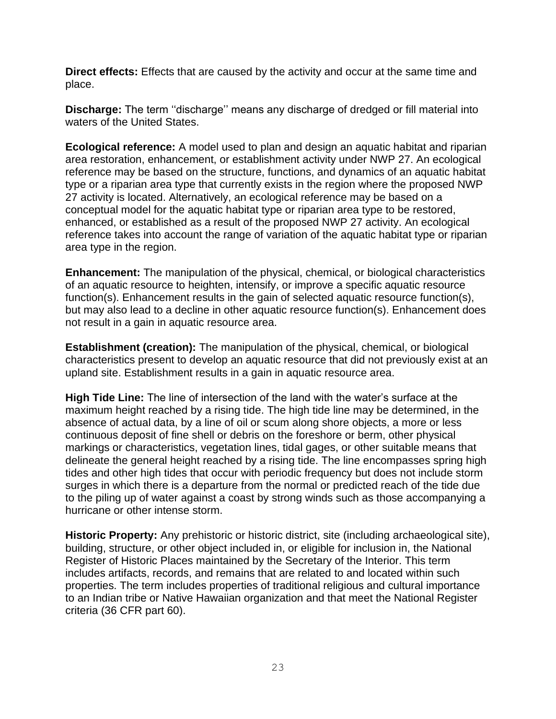**Direct effects:** Effects that are caused by the activity and occur at the same time and place.

**Discharge:** The term ''discharge'' means any discharge of dredged or fill material into waters of the United States.

**Ecological reference:** A model used to plan and design an aquatic habitat and riparian area restoration, enhancement, or establishment activity under NWP 27. An ecological reference may be based on the structure, functions, and dynamics of an aquatic habitat type or a riparian area type that currently exists in the region where the proposed NWP 27 activity is located. Alternatively, an ecological reference may be based on a conceptual model for the aquatic habitat type or riparian area type to be restored, enhanced, or established as a result of the proposed NWP 27 activity. An ecological reference takes into account the range of variation of the aquatic habitat type or riparian area type in the region.

**Enhancement:** The manipulation of the physical, chemical, or biological characteristics of an aquatic resource to heighten, intensify, or improve a specific aquatic resource function(s). Enhancement results in the gain of selected aquatic resource function(s), but may also lead to a decline in other aquatic resource function(s). Enhancement does not result in a gain in aquatic resource area.

**Establishment (creation):** The manipulation of the physical, chemical, or biological characteristics present to develop an aquatic resource that did not previously exist at an upland site. Establishment results in a gain in aquatic resource area.

**High Tide Line:** The line of intersection of the land with the water's surface at the maximum height reached by a rising tide. The high tide line may be determined, in the absence of actual data, by a line of oil or scum along shore objects, a more or less continuous deposit of fine shell or debris on the foreshore or berm, other physical markings or characteristics, vegetation lines, tidal gages, or other suitable means that delineate the general height reached by a rising tide. The line encompasses spring high tides and other high tides that occur with periodic frequency but does not include storm surges in which there is a departure from the normal or predicted reach of the tide due to the piling up of water against a coast by strong winds such as those accompanying a hurricane or other intense storm.

**Historic Property:** Any prehistoric or historic district, site (including archaeological site), building, structure, or other object included in, or eligible for inclusion in, the National Register of Historic Places maintained by the Secretary of the Interior. This term includes artifacts, records, and remains that are related to and located within such properties. The term includes properties of traditional religious and cultural importance to an Indian tribe or Native Hawaiian organization and that meet the National Register criteria (36 CFR part 60).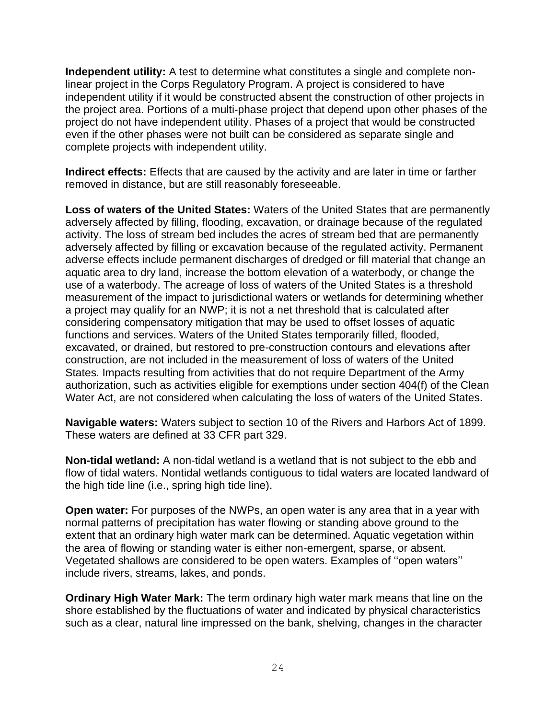**Independent utility:** A test to determine what constitutes a single and complete nonlinear project in the Corps Regulatory Program. A project is considered to have independent utility if it would be constructed absent the construction of other projects in the project area. Portions of a multi-phase project that depend upon other phases of the project do not have independent utility. Phases of a project that would be constructed even if the other phases were not built can be considered as separate single and complete projects with independent utility.

**Indirect effects:** Effects that are caused by the activity and are later in time or farther removed in distance, but are still reasonably foreseeable.

**Loss of waters of the United States:** Waters of the United States that are permanently adversely affected by filling, flooding, excavation, or drainage because of the regulated activity. The loss of stream bed includes the acres of stream bed that are permanently adversely affected by filling or excavation because of the regulated activity. Permanent adverse effects include permanent discharges of dredged or fill material that change an aquatic area to dry land, increase the bottom elevation of a waterbody, or change the use of a waterbody. The acreage of loss of waters of the United States is a threshold measurement of the impact to jurisdictional waters or wetlands for determining whether a project may qualify for an NWP; it is not a net threshold that is calculated after considering compensatory mitigation that may be used to offset losses of aquatic functions and services. Waters of the United States temporarily filled, flooded, excavated, or drained, but restored to pre-construction contours and elevations after construction, are not included in the measurement of loss of waters of the United States. Impacts resulting from activities that do not require Department of the Army authorization, such as activities eligible for exemptions under section 404(f) of the Clean Water Act, are not considered when calculating the loss of waters of the United States.

**Navigable waters:** Waters subject to section 10 of the Rivers and Harbors Act of 1899. These waters are defined at 33 CFR part 329.

**Non-tidal wetland:** A non-tidal wetland is a wetland that is not subject to the ebb and flow of tidal waters. Nontidal wetlands contiguous to tidal waters are located landward of the high tide line (i.e., spring high tide line).

**Open water:** For purposes of the NWPs, an open water is any area that in a year with normal patterns of precipitation has water flowing or standing above ground to the extent that an ordinary high water mark can be determined. Aquatic vegetation within the area of flowing or standing water is either non-emergent, sparse, or absent. Vegetated shallows are considered to be open waters. Examples of ''open waters'' include rivers, streams, lakes, and ponds.

**Ordinary High Water Mark:** The term ordinary high water mark means that line on the shore established by the fluctuations of water and indicated by physical characteristics such as a clear, natural line impressed on the bank, shelving, changes in the character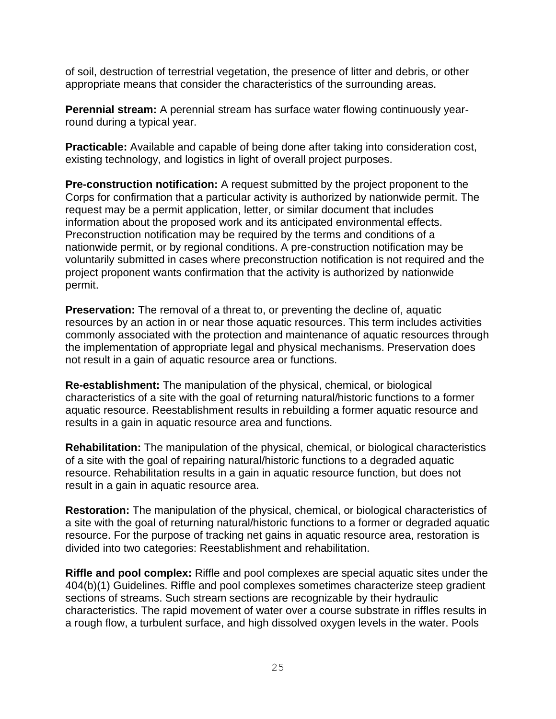of soil, destruction of terrestrial vegetation, the presence of litter and debris, or other appropriate means that consider the characteristics of the surrounding areas.

**Perennial stream:** A perennial stream has surface water flowing continuously yearround during a typical year.

**Practicable:** Available and capable of being done after taking into consideration cost, existing technology, and logistics in light of overall project purposes.

**Pre-construction notification:** A request submitted by the project proponent to the Corps for confirmation that a particular activity is authorized by nationwide permit. The request may be a permit application, letter, or similar document that includes information about the proposed work and its anticipated environmental effects. Preconstruction notification may be required by the terms and conditions of a nationwide permit, or by regional conditions. A pre-construction notification may be voluntarily submitted in cases where preconstruction notification is not required and the project proponent wants confirmation that the activity is authorized by nationwide permit.

**Preservation:** The removal of a threat to, or preventing the decline of, aquatic resources by an action in or near those aquatic resources. This term includes activities commonly associated with the protection and maintenance of aquatic resources through the implementation of appropriate legal and physical mechanisms. Preservation does not result in a gain of aquatic resource area or functions.

**Re-establishment:** The manipulation of the physical, chemical, or biological characteristics of a site with the goal of returning natural/historic functions to a former aquatic resource. Reestablishment results in rebuilding a former aquatic resource and results in a gain in aquatic resource area and functions.

**Rehabilitation:** The manipulation of the physical, chemical, or biological characteristics of a site with the goal of repairing natural/historic functions to a degraded aquatic resource. Rehabilitation results in a gain in aquatic resource function, but does not result in a gain in aquatic resource area.

**Restoration:** The manipulation of the physical, chemical, or biological characteristics of a site with the goal of returning natural/historic functions to a former or degraded aquatic resource. For the purpose of tracking net gains in aquatic resource area, restoration is divided into two categories: Reestablishment and rehabilitation.

**Riffle and pool complex:** Riffle and pool complexes are special aquatic sites under the 404(b)(1) Guidelines. Riffle and pool complexes sometimes characterize steep gradient sections of streams. Such stream sections are recognizable by their hydraulic characteristics. The rapid movement of water over a course substrate in riffles results in a rough flow, a turbulent surface, and high dissolved oxygen levels in the water. Pools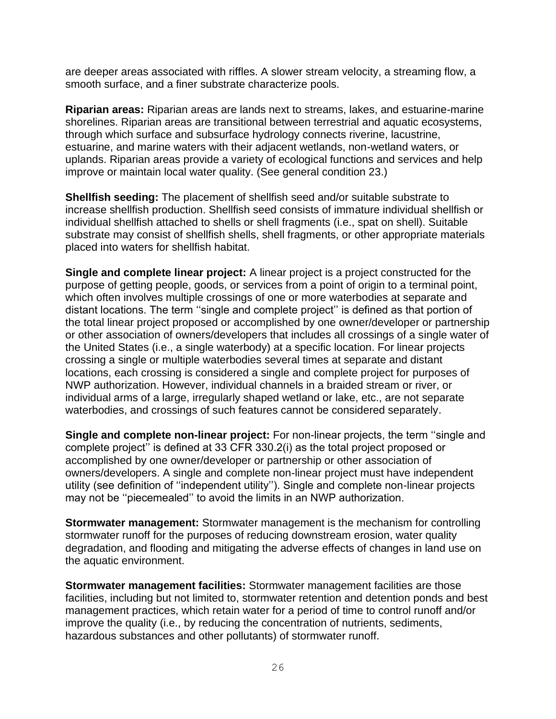are deeper areas associated with riffles. A slower stream velocity, a streaming flow, a smooth surface, and a finer substrate characterize pools.

**Riparian areas:** Riparian areas are lands next to streams, lakes, and estuarine-marine shorelines. Riparian areas are transitional between terrestrial and aquatic ecosystems, through which surface and subsurface hydrology connects riverine, lacustrine, estuarine, and marine waters with their adjacent wetlands, non-wetland waters, or uplands. Riparian areas provide a variety of ecological functions and services and help improve or maintain local water quality. (See general condition 23.)

**Shellfish seeding:** The placement of shellfish seed and/or suitable substrate to increase shellfish production. Shellfish seed consists of immature individual shellfish or individual shellfish attached to shells or shell fragments (i.e., spat on shell). Suitable substrate may consist of shellfish shells, shell fragments, or other appropriate materials placed into waters for shellfish habitat.

**Single and complete linear project:** A linear project is a project constructed for the purpose of getting people, goods, or services from a point of origin to a terminal point, which often involves multiple crossings of one or more waterbodies at separate and distant locations. The term ''single and complete project'' is defined as that portion of the total linear project proposed or accomplished by one owner/developer or partnership or other association of owners/developers that includes all crossings of a single water of the United States (i.e., a single waterbody) at a specific location. For linear projects crossing a single or multiple waterbodies several times at separate and distant locations, each crossing is considered a single and complete project for purposes of NWP authorization. However, individual channels in a braided stream or river, or individual arms of a large, irregularly shaped wetland or lake, etc., are not separate waterbodies, and crossings of such features cannot be considered separately.

**Single and complete non-linear project:** For non-linear projects, the term ''single and complete project'' is defined at 33 CFR 330.2(i) as the total project proposed or accomplished by one owner/developer or partnership or other association of owners/developers. A single and complete non-linear project must have independent utility (see definition of ''independent utility''). Single and complete non-linear projects may not be ''piecemealed'' to avoid the limits in an NWP authorization.

**Stormwater management:** Stormwater management is the mechanism for controlling stormwater runoff for the purposes of reducing downstream erosion, water quality degradation, and flooding and mitigating the adverse effects of changes in land use on the aquatic environment.

**Stormwater management facilities:** Stormwater management facilities are those facilities, including but not limited to, stormwater retention and detention ponds and best management practices, which retain water for a period of time to control runoff and/or improve the quality (i.e., by reducing the concentration of nutrients, sediments, hazardous substances and other pollutants) of stormwater runoff.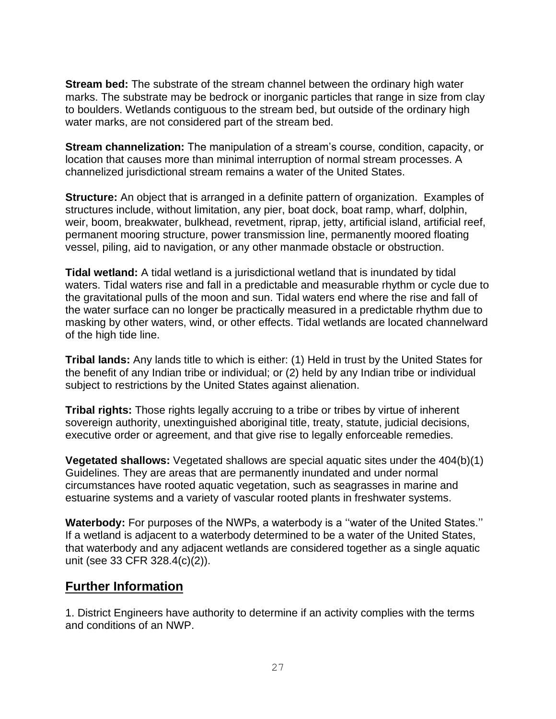**Stream bed:** The substrate of the stream channel between the ordinary high water marks. The substrate may be bedrock or inorganic particles that range in size from clay to boulders. Wetlands contiguous to the stream bed, but outside of the ordinary high water marks, are not considered part of the stream bed.

**Stream channelization:** The manipulation of a stream's course, condition, capacity, or location that causes more than minimal interruption of normal stream processes. A channelized jurisdictional stream remains a water of the United States.

**Structure:** An object that is arranged in a definite pattern of organization. Examples of structures include, without limitation, any pier, boat dock, boat ramp, wharf, dolphin, weir, boom, breakwater, bulkhead, revetment, riprap, jetty, artificial island, artificial reef, permanent mooring structure, power transmission line, permanently moored floating vessel, piling, aid to navigation, or any other manmade obstacle or obstruction.

**Tidal wetland:** A tidal wetland is a jurisdictional wetland that is inundated by tidal waters. Tidal waters rise and fall in a predictable and measurable rhythm or cycle due to the gravitational pulls of the moon and sun. Tidal waters end where the rise and fall of the water surface can no longer be practically measured in a predictable rhythm due to masking by other waters, wind, or other effects. Tidal wetlands are located channelward of the high tide line.

**Tribal lands:** Any lands title to which is either: (1) Held in trust by the United States for the benefit of any Indian tribe or individual; or (2) held by any Indian tribe or individual subject to restrictions by the United States against alienation.

**Tribal rights:** Those rights legally accruing to a tribe or tribes by virtue of inherent sovereign authority, unextinguished aboriginal title, treaty, statute, judicial decisions, executive order or agreement, and that give rise to legally enforceable remedies.

**Vegetated shallows:** Vegetated shallows are special aquatic sites under the 404(b)(1) Guidelines. They are areas that are permanently inundated and under normal circumstances have rooted aquatic vegetation, such as seagrasses in marine and estuarine systems and a variety of vascular rooted plants in freshwater systems.

**Waterbody:** For purposes of the NWPs, a waterbody is a ''water of the United States.'' If a wetland is adjacent to a waterbody determined to be a water of the United States, that waterbody and any adjacent wetlands are considered together as a single aquatic unit (see 33 CFR 328.4(c)(2)).

# **Further Information**

1. District Engineers have authority to determine if an activity complies with the terms and conditions of an NWP.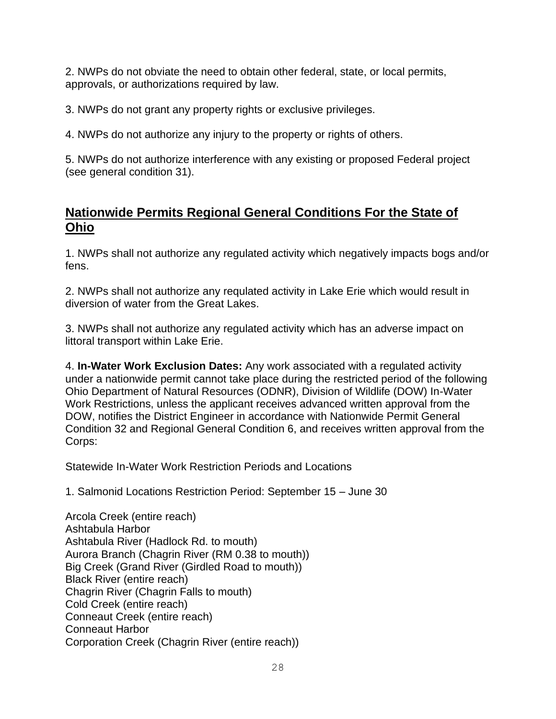2. NWPs do not obviate the need to obtain other federal, state, or local permits, approvals, or authorizations required by law.

3. NWPs do not grant any property rights or exclusive privileges.

4. NWPs do not authorize any injury to the property or rights of others.

5. NWPs do not authorize interference with any existing or proposed Federal project (see general condition 31).

# **Nationwide Permits Regional General Conditions For the State of Ohio**

1. NWPs shall not authorize any regulated activity which negatively impacts bogs and/or fens.

2. NWPs shall not authorize any requlated activity in Lake Erie which would result in diversion of water from the Great Lakes.

3. NWPs shall not authorize any regulated activity which has an adverse impact on littoral transport within Lake Erie.

4. **In-Water Work Exclusion Dates:** Any work associated with a regulated activity under a nationwide permit cannot take place during the restricted period of the following Ohio Department of Natural Resources (ODNR), Division of Wildlife (DOW) In-Water Work Restrictions, unless the applicant receives advanced written approval from the DOW, notifies the District Engineer in accordance with Nationwide Permit General Condition 32 and Regional General Condition 6, and receives written approval from the Corps:

Statewide In-Water Work Restriction Periods and Locations

1. Salmonid Locations Restriction Period: September 15 – June 30

Arcola Creek (entire reach) Ashtabula Harbor Ashtabula River (Hadlock Rd. to mouth) Aurora Branch (Chagrin River (RM 0.38 to mouth)) Big Creek (Grand River (Girdled Road to mouth)) Black River (entire reach) Chagrin River (Chagrin Falls to mouth) Cold Creek (entire reach) Conneaut Creek (entire reach) Conneaut Harbor Corporation Creek (Chagrin River (entire reach))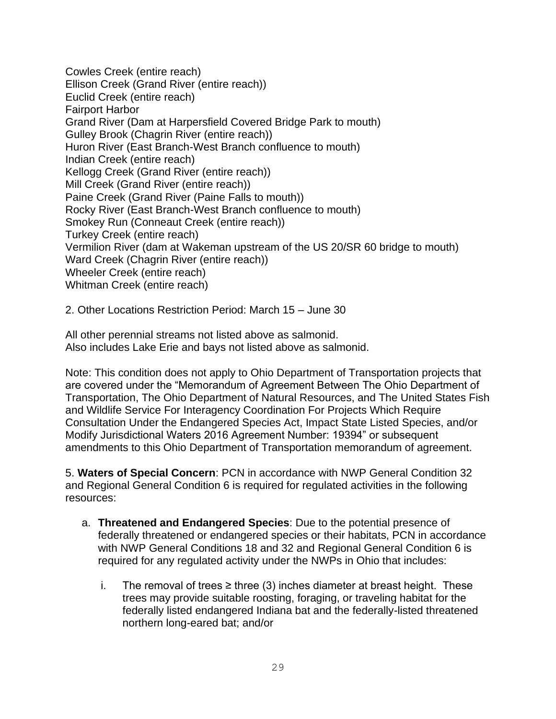Cowles Creek (entire reach) Ellison Creek (Grand River (entire reach)) Euclid Creek (entire reach) Fairport Harbor Grand River (Dam at Harpersfield Covered Bridge Park to mouth) Gulley Brook (Chagrin River (entire reach)) Huron River (East Branch-West Branch confluence to mouth) Indian Creek (entire reach) Kellogg Creek (Grand River (entire reach)) Mill Creek (Grand River (entire reach)) Paine Creek (Grand River (Paine Falls to mouth)) Rocky River (East Branch-West Branch confluence to mouth) Smokey Run (Conneaut Creek (entire reach)) Turkey Creek (entire reach) Vermilion River (dam at Wakeman upstream of the US 20/SR 60 bridge to mouth) Ward Creek (Chagrin River (entire reach)) Wheeler Creek (entire reach) Whitman Creek (entire reach)

2. Other Locations Restriction Period: March 15 – June 30

All other perennial streams not listed above as salmonid. Also includes Lake Erie and bays not listed above as salmonid.

Note: This condition does not apply to Ohio Department of Transportation projects that are covered under the "Memorandum of Agreement Between The Ohio Department of Transportation, The Ohio Department of Natural Resources, and The United States Fish and Wildlife Service For Interagency Coordination For Projects Which Require Consultation Under the Endangered Species Act, Impact State Listed Species, and/or Modify Jurisdictional Waters 2016 Agreement Number: 19394" or subsequent amendments to this Ohio Department of Transportation memorandum of agreement.

5. **Waters of Special Concern**: PCN in accordance with NWP General Condition 32 and Regional General Condition 6 is required for regulated activities in the following resources:

- a. **Threatened and Endangered Species**: Due to the potential presence of federally threatened or endangered species or their habitats, PCN in accordance with NWP General Conditions 18 and 32 and Regional General Condition 6 is required for any regulated activity under the NWPs in Ohio that includes:
	- i. The removal of trees ≥ three (3) inches diameter at breast height. These trees may provide suitable roosting, foraging, or traveling habitat for the federally listed endangered Indiana bat and the federally-listed threatened northern long-eared bat; and/or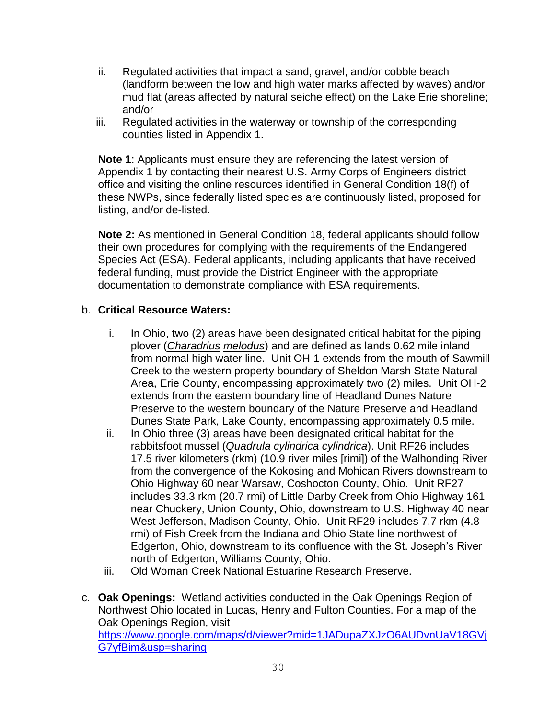- ii. Regulated activities that impact a sand, gravel, and/or cobble beach (landform between the low and high water marks affected by waves) and/or mud flat (areas affected by natural seiche effect) on the Lake Erie shoreline; and/or
- iii. Regulated activities in the waterway or township of the corresponding counties listed in Appendix 1.

**Note 1**: Applicants must ensure they are referencing the latest version of Appendix 1 by contacting their nearest U.S. Army Corps of Engineers district office and visiting the online resources identified in General Condition 18(f) of these NWPs, since federally listed species are continuously listed, proposed for listing, and/or de-listed.

**Note 2:** As mentioned in General Condition 18, federal applicants should follow their own procedures for complying with the requirements of the Endangered Species Act (ESA). Federal applicants, including applicants that have received federal funding, must provide the District Engineer with the appropriate documentation to demonstrate compliance with ESA requirements.

## b. **Critical Resource Waters:**

- i. In Ohio, two (2) areas have been designated critical habitat for the piping plover (*Charadrius melodus*) and are defined as lands 0.62 mile inland from normal high water line. Unit OH-1 extends from the mouth of Sawmill Creek to the western property boundary of Sheldon Marsh State Natural Area, Erie County, encompassing approximately two (2) miles. Unit OH-2 extends from the eastern boundary line of Headland Dunes Nature Preserve to the western boundary of the Nature Preserve and Headland Dunes State Park, Lake County, encompassing approximately 0.5 mile.
- ii. In Ohio three (3) areas have been designated critical habitat for the rabbitsfoot mussel (*Quadrula cylindrica cylindrica*). Unit RF26 includes 17.5 river kilometers (rkm) (10.9 river miles [rimi]) of the Walhonding River from the convergence of the Kokosing and Mohican Rivers downstream to Ohio Highway 60 near Warsaw, Coshocton County, Ohio. Unit RF27 includes 33.3 rkm (20.7 rmi) of Little Darby Creek from Ohio Highway 161 near Chuckery, Union County, Ohio, downstream to U.S. Highway 40 near West Jefferson, Madison County, Ohio. Unit RF29 includes 7.7 rkm (4.8 rmi) of Fish Creek from the Indiana and Ohio State line northwest of Edgerton, Ohio, downstream to its confluence with the St. Joseph's River north of Edgerton, Williams County, Ohio.
- iii. Old Woman Creek National Estuarine Research Preserve.
- c. **Oak Openings:** Wetland activities conducted in the Oak Openings Region of Northwest Ohio located in Lucas, Henry and Fulton Counties. For a map of the Oak Openings Region, visit [https://www.google.com/maps/d/viewer?mid=1JADupaZXJzO6AUDvnUaV18GVj](https://www.google.com/maps/d/viewer?mid=1JADupaZXJzO6AUDvnUaV18GVjG7yfBim&usp=sharing) [G7yfBim&usp=sharing](https://www.google.com/maps/d/viewer?mid=1JADupaZXJzO6AUDvnUaV18GVjG7yfBim&usp=sharing)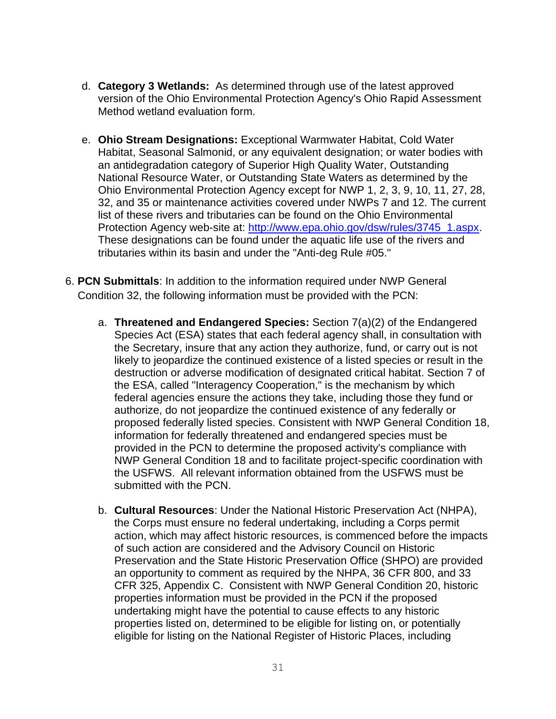- d. **Category 3 Wetlands:** As determined through use of the latest approved version of the Ohio Environmental Protection Agency's Ohio Rapid Assessment Method wetland evaluation form.
- e. **Ohio Stream Designations:** Exceptional Warmwater Habitat, Cold Water Habitat, Seasonal Salmonid, or any equivalent designation; or water bodies with an antidegradation category of Superior High Quality Water, Outstanding National Resource Water, or Outstanding State Waters as determined by the Ohio Environmental Protection Agency except for NWP 1, 2, 3, 9, 10, 11, 27, 28, 32, and 35 or maintenance activities covered under NWPs 7 and 12. The current list of these rivers and tributaries can be found on the Ohio Environmental Protection Agency web-site at: [http://www.epa.ohio.gov/dsw/rules/3745\\_1.aspx.](http://www.epa.ohio.gov/dsw/rules/3745_1.aspx) These designations can be found under the aquatic life use of the rivers and tributaries within its basin and under the "Anti-deg Rule #05."
- 6. **PCN Submittals**: In addition to the information required under NWP General Condition 32, the following information must be provided with the PCN:
	- a. **Threatened and Endangered Species:** Section 7(a)(2) of the Endangered Species Act (ESA) states that each federal agency shall, in consultation with the Secretary, insure that any action they authorize, fund, or carry out is not likely to jeopardize the continued existence of a listed species or result in the destruction or adverse modification of designated critical habitat. Section 7 of the ESA, called "Interagency Cooperation," is the mechanism by which federal agencies ensure the actions they take, including those they fund or authorize, do not jeopardize the continued existence of any federally or proposed federally listed species. Consistent with NWP General Condition 18, information for federally threatened and endangered species must be provided in the PCN to determine the proposed activity's compliance with NWP General Condition 18 and to facilitate project-specific coordination with the USFWS. All relevant information obtained from the USFWS must be submitted with the PCN.
	- b. **Cultural Resources**: Under the National Historic Preservation Act (NHPA), the Corps must ensure no federal undertaking, including a Corps permit action, which may affect historic resources, is commenced before the impacts of such action are considered and the Advisory Council on Historic Preservation and the State Historic Preservation Office (SHPO) are provided an opportunity to comment as required by the NHPA, 36 CFR 800, and 33 CFR 325, Appendix C. Consistent with NWP General Condition 20, historic properties information must be provided in the PCN if the proposed undertaking might have the potential to cause effects to any historic properties listed on, determined to be eligible for listing on, or potentially eligible for listing on the National Register of Historic Places, including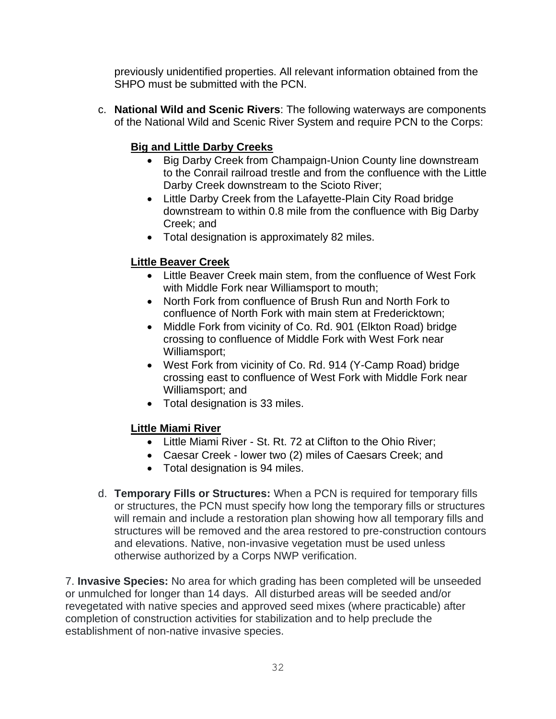previously unidentified properties. All relevant information obtained from the SHPO must be submitted with the PCN.

c. **National Wild and Scenic Rivers**: The following waterways are components of the National Wild and Scenic River System and require PCN to the Corps:

# **Big and Little Darby Creeks**

- Big Darby Creek from Champaign-Union County line downstream to the Conrail railroad trestle and from the confluence with the Little Darby Creek downstream to the Scioto River;
- Little Darby Creek from the Lafayette-Plain City Road bridge downstream to within 0.8 mile from the confluence with Big Darby Creek; and
- Total designation is approximately 82 miles.

# **Little Beaver Creek**

- Little Beaver Creek main stem, from the confluence of West Fork with Middle Fork near Williamsport to mouth;
- North Fork from confluence of Brush Run and North Fork to confluence of North Fork with main stem at Fredericktown;
- Middle Fork from vicinity of Co. Rd. 901 (Elkton Road) bridge crossing to confluence of Middle Fork with West Fork near Williamsport;
- West Fork from vicinity of Co. Rd. 914 (Y-Camp Road) bridge crossing east to confluence of West Fork with Middle Fork near Williamsport; and
- Total designation is 33 miles.

# **Little Miami River**

- Little Miami River St. Rt. 72 at Clifton to the Ohio River;
- Caesar Creek lower two (2) miles of Caesars Creek; and
- Total designation is 94 miles.
- d. **Temporary Fills or Structures:** When a PCN is required for temporary fills or structures, the PCN must specify how long the temporary fills or structures will remain and include a restoration plan showing how all temporary fills and structures will be removed and the area restored to pre-construction contours and elevations. Native, non-invasive vegetation must be used unless otherwise authorized by a Corps NWP verification.

7. **Invasive Species:** No area for which grading has been completed will be unseeded or unmulched for longer than 14 days. All disturbed areas will be seeded and/or revegetated with native species and approved seed mixes (where practicable) after completion of construction activities for stabilization and to help preclude the establishment of non-native invasive species.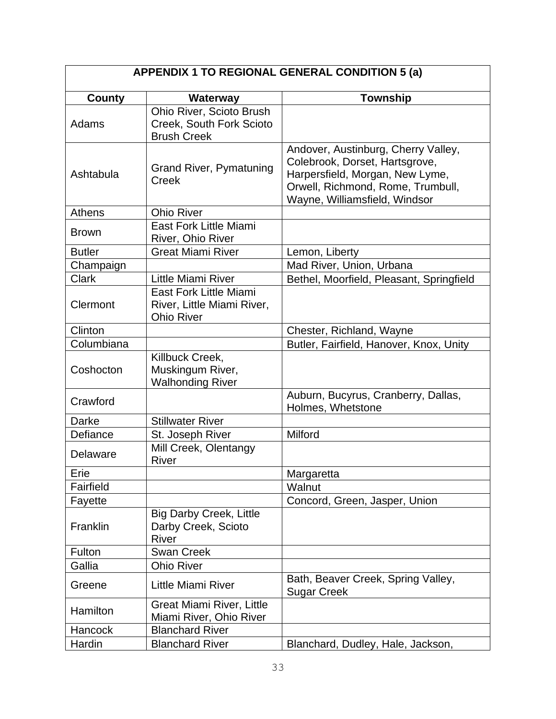| APPENDIX 1 TO REGIONAL GENERAL CONDITION 5 (a) |                                       |                                                          |  |  |
|------------------------------------------------|---------------------------------------|----------------------------------------------------------|--|--|
| <b>County</b>                                  | Waterway                              | <b>Township</b>                                          |  |  |
|                                                | Ohio River, Scioto Brush              |                                                          |  |  |
| Adams                                          | Creek, South Fork Scioto              |                                                          |  |  |
|                                                | <b>Brush Creek</b>                    |                                                          |  |  |
|                                                |                                       | Andover, Austinburg, Cherry Valley,                      |  |  |
|                                                | <b>Grand River, Pymatuning</b>        | Colebrook, Dorset, Hartsgrove,                           |  |  |
| Ashtabula                                      | <b>Creek</b>                          | Harpersfield, Morgan, New Lyme,                          |  |  |
|                                                |                                       | Orwell, Richmond, Rome, Trumbull,                        |  |  |
| Athens                                         | <b>Ohio River</b>                     | Wayne, Williamsfield, Windsor                            |  |  |
|                                                | <b>East Fork Little Miami</b>         |                                                          |  |  |
| <b>Brown</b>                                   | River, Ohio River                     |                                                          |  |  |
| <b>Butler</b>                                  | <b>Great Miami River</b>              | Lemon, Liberty                                           |  |  |
| Champaign                                      |                                       | Mad River, Union, Urbana                                 |  |  |
| <b>Clark</b>                                   | Little Miami River                    | Bethel, Moorfield, Pleasant, Springfield                 |  |  |
|                                                | East Fork Little Miami                |                                                          |  |  |
| Clermont                                       | River, Little Miami River,            |                                                          |  |  |
|                                                | <b>Ohio River</b>                     |                                                          |  |  |
| Clinton                                        |                                       | Chester, Richland, Wayne                                 |  |  |
| Columbiana                                     |                                       | Butler, Fairfield, Hanover, Knox, Unity                  |  |  |
|                                                | Killbuck Creek,                       |                                                          |  |  |
| Coshocton                                      | Muskingum River,                      |                                                          |  |  |
|                                                | <b>Walhonding River</b>               |                                                          |  |  |
| Crawford                                       |                                       | Auburn, Bucyrus, Cranberry, Dallas,                      |  |  |
| Darke                                          | <b>Stillwater River</b>               | Holmes, Whetstone                                        |  |  |
|                                                |                                       | Milford                                                  |  |  |
| Defiance                                       | St. Joseph River                      |                                                          |  |  |
| <b>Delaware</b>                                | Mill Creek, Olentangy<br><b>River</b> |                                                          |  |  |
| Erie                                           |                                       | Margaretta                                               |  |  |
| Fairfield                                      |                                       | Walnut                                                   |  |  |
| Fayette                                        |                                       | Concord, Green, Jasper, Union                            |  |  |
|                                                | <b>Big Darby Creek, Little</b>        |                                                          |  |  |
| Franklin                                       | Darby Creek, Scioto                   |                                                          |  |  |
|                                                | <b>River</b>                          |                                                          |  |  |
| Fulton                                         | <b>Swan Creek</b>                     |                                                          |  |  |
| Gallia                                         | <b>Ohio River</b>                     |                                                          |  |  |
| Greene                                         | <b>Little Miami River</b>             | Bath, Beaver Creek, Spring Valley,<br><b>Sugar Creek</b> |  |  |
| Hamilton                                       | <b>Great Miami River, Little</b>      |                                                          |  |  |
|                                                | Miami River, Ohio River               |                                                          |  |  |
| Hancock                                        | <b>Blanchard River</b>                |                                                          |  |  |
| Hardin                                         | <b>Blanchard River</b>                | Blanchard, Dudley, Hale, Jackson,                        |  |  |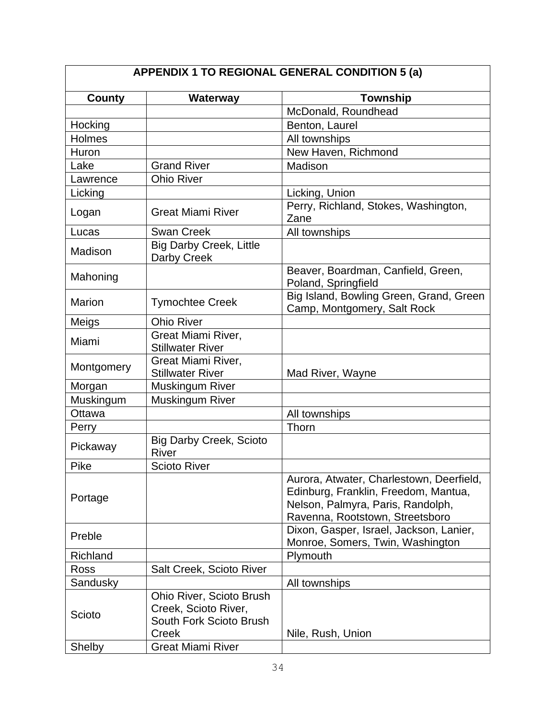| APPENDIX 1 TO REGIONAL GENERAL CONDITION 5 (a) |                                                                                      |                                                                                                                                                          |  |  |
|------------------------------------------------|--------------------------------------------------------------------------------------|----------------------------------------------------------------------------------------------------------------------------------------------------------|--|--|
| <b>County</b>                                  | Waterway                                                                             | <b>Township</b>                                                                                                                                          |  |  |
|                                                |                                                                                      | McDonald, Roundhead                                                                                                                                      |  |  |
| Hocking                                        |                                                                                      | Benton, Laurel                                                                                                                                           |  |  |
| Holmes                                         |                                                                                      | All townships                                                                                                                                            |  |  |
| Huron                                          |                                                                                      | New Haven, Richmond                                                                                                                                      |  |  |
| Lake                                           | <b>Grand River</b>                                                                   | Madison                                                                                                                                                  |  |  |
| Lawrence                                       | <b>Ohio River</b>                                                                    |                                                                                                                                                          |  |  |
| Licking                                        |                                                                                      | Licking, Union                                                                                                                                           |  |  |
| Logan                                          | <b>Great Miami River</b>                                                             | Perry, Richland, Stokes, Washington,<br>Zane                                                                                                             |  |  |
| Lucas                                          | <b>Swan Creek</b>                                                                    | All townships                                                                                                                                            |  |  |
| Madison                                        | <b>Big Darby Creek, Little</b><br>Darby Creek                                        |                                                                                                                                                          |  |  |
| Mahoning                                       |                                                                                      | Beaver, Boardman, Canfield, Green,<br>Poland, Springfield                                                                                                |  |  |
| <b>Marion</b>                                  | <b>Tymochtee Creek</b>                                                               | Big Island, Bowling Green, Grand, Green<br>Camp, Montgomery, Salt Rock                                                                                   |  |  |
| Meigs                                          | <b>Ohio River</b>                                                                    |                                                                                                                                                          |  |  |
| Miami                                          | Great Miami River,<br><b>Stillwater River</b>                                        |                                                                                                                                                          |  |  |
| Montgomery                                     | Great Miami River,<br><b>Stillwater River</b>                                        | Mad River, Wayne                                                                                                                                         |  |  |
| Morgan                                         | <b>Muskingum River</b>                                                               |                                                                                                                                                          |  |  |
| Muskingum                                      | Muskingum River                                                                      |                                                                                                                                                          |  |  |
| Ottawa                                         |                                                                                      | All townships                                                                                                                                            |  |  |
| Perry                                          |                                                                                      | Thorn                                                                                                                                                    |  |  |
| Pickaway                                       | <b>Big Darby Creek, Scioto</b><br><b>River</b>                                       |                                                                                                                                                          |  |  |
| Pike                                           | <b>Scioto River</b>                                                                  |                                                                                                                                                          |  |  |
| Portage                                        |                                                                                      | Aurora, Atwater, Charlestown, Deerfield,<br>Edinburg, Franklin, Freedom, Mantua,<br>Nelson, Palmyra, Paris, Randolph,<br>Ravenna, Rootstown, Streetsboro |  |  |
| Preble                                         |                                                                                      | Dixon, Gasper, Israel, Jackson, Lanier,<br>Monroe, Somers, Twin, Washington                                                                              |  |  |
| Richland                                       |                                                                                      | Plymouth                                                                                                                                                 |  |  |
| Ross                                           | Salt Creek, Scioto River                                                             |                                                                                                                                                          |  |  |
| Sandusky                                       |                                                                                      | All townships                                                                                                                                            |  |  |
| Scioto                                         | Ohio River, Scioto Brush<br>Creek, Scioto River,<br>South Fork Scioto Brush<br>Creek | Nile, Rush, Union                                                                                                                                        |  |  |
| Shelby                                         | <b>Great Miami River</b>                                                             |                                                                                                                                                          |  |  |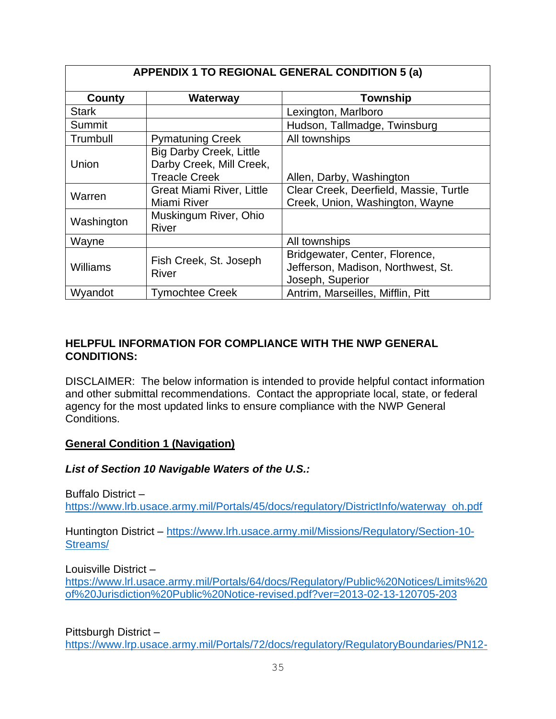| <b>APPENDIX 1 TO REGIONAL GENERAL CONDITION 5 (a)</b> |                                                                                    |                                                                                          |  |  |
|-------------------------------------------------------|------------------------------------------------------------------------------------|------------------------------------------------------------------------------------------|--|--|
| County                                                | <b>Waterway</b>                                                                    | <b>Township</b>                                                                          |  |  |
| <b>Stark</b>                                          |                                                                                    | Lexington, Marlboro                                                                      |  |  |
| Summit                                                |                                                                                    | Hudson, Tallmadge, Twinsburg                                                             |  |  |
| Trumbull                                              | <b>Pymatuning Creek</b>                                                            | All townships                                                                            |  |  |
| Union                                                 | <b>Big Darby Creek, Little</b><br>Darby Creek, Mill Creek,<br><b>Treacle Creek</b> | Allen, Darby, Washington                                                                 |  |  |
| Warren                                                | <b>Great Miami River, Little</b><br>Miami River                                    | Clear Creek, Deerfield, Massie, Turtle<br>Creek, Union, Washington, Wayne                |  |  |
| Washington                                            | Muskingum River, Ohio<br><b>River</b>                                              |                                                                                          |  |  |
| Wayne                                                 |                                                                                    | All townships                                                                            |  |  |
| Williams                                              | Fish Creek, St. Joseph<br><b>River</b>                                             | Bridgewater, Center, Florence,<br>Jefferson, Madison, Northwest, St.<br>Joseph, Superior |  |  |
| Wyandot                                               | <b>Tymochtee Creek</b>                                                             | Antrim, Marseilles, Mifflin, Pitt                                                        |  |  |

## **HELPFUL INFORMATION FOR COMPLIANCE WITH THE NWP GENERAL CONDITIONS:**

DISCLAIMER: The below information is intended to provide helpful contact information and other submittal recommendations. Contact the appropriate local, state, or federal agency for the most updated links to ensure compliance with the NWP General Conditions.

#### **General Condition 1 (Navigation)**

#### *List of Section 10 Navigable Waters of the U.S.:*

Buffalo District –

[https://www.lrb.usace.army.mil/Portals/45/docs/regulatory/DistrictInfo/waterway\\_oh.pdf](https://www.lrb.usace.army.mil/Portals/45/docs/regulatory/DistrictInfo/waterway_oh.pdf)

Huntington District – [https://www.lrh.usace.army.mil/Missions/Regulatory/Section-10-](https://www.lrh.usace.army.mil/Missions/Regulatory/Section-10-Streams/) [Streams/](https://www.lrh.usace.army.mil/Missions/Regulatory/Section-10-Streams/)

Louisville District –

[https://www.lrl.usace.army.mil/Portals/64/docs/Regulatory/Public%20Notices/Limits%20](https://www.lrl.usace.army.mil/Portals/64/docs/Regulatory/Public%20Notices/Limits%20of%20Jurisdiction%20Public%20Notice-revised.pdf?ver=2013-02-13-120705-203) [of%20Jurisdiction%20Public%20Notice-revised.pdf?ver=2013-02-13-120705-203](https://www.lrl.usace.army.mil/Portals/64/docs/Regulatory/Public%20Notices/Limits%20of%20Jurisdiction%20Public%20Notice-revised.pdf?ver=2013-02-13-120705-203)

Pittsburgh District –

[https://www.lrp.usace.army.mil/Portals/72/docs/regulatory/RegulatoryBoundaries/PN12-](https://www.lrp.usace.army.mil/Portals/72/docs/regulatory/RegulatoryBoundaries/PN12-2.pdf)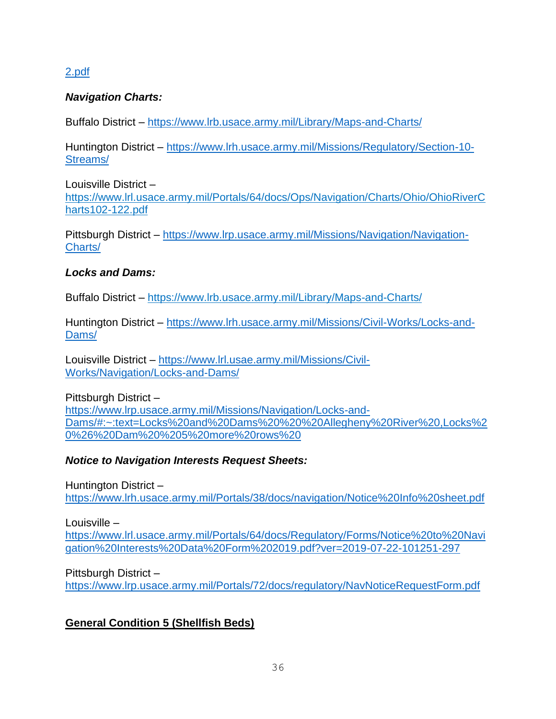## [2.pdf](https://www.lrp.usace.army.mil/Portals/72/docs/regulatory/RegulatoryBoundaries/PN12-2.pdf)

## *Navigation Charts:*

Buffalo District – <https://www.lrb.usace.army.mil/Library/Maps-and-Charts/>

Huntington District – [https://www.lrh.usace.army.mil/Missions/Regulatory/Section-10-](https://www.lrh.usace.army.mil/Missions/Regulatory/Section-10-Streams/) [Streams/](https://www.lrh.usace.army.mil/Missions/Regulatory/Section-10-Streams/)

Louisville District – https://www.lrl.usace.army.mil/Portals/64/docs/Ops/Navigation/Charts/Ohio/OhioRiverC harts102-122.pdf

Pittsburgh District – [https://www.lrp.usace.army.mil/Missions/Navigation/Navigation-](https://www.lrp.usace.army.mil/Missions/Navigation/Navigation-Charts/)[Charts/](https://www.lrp.usace.army.mil/Missions/Navigation/Navigation-Charts/)

#### *Locks and Dams:*

Buffalo District – https://www.lrb.usace.army.mil/Library/Maps-and-Charts/

Huntington District – [https://www.lrh.usace.army.mil/Missions/Civil-Works/Locks-and-](https://www.lrh.usace.army.mil/Missions/Civil-Works/Locks-and-Dams/)[Dams/](https://www.lrh.usace.army.mil/Missions/Civil-Works/Locks-and-Dams/)

Louisville District – [https://www.lrl.usae.army.mil/Missions/Civil-](https://www.lrl.usae.army.mil/Missions/Civil-Works/Navigation/Locks-and-Dams/)[Works/Navigation/Locks-and-Dams/](https://www.lrl.usae.army.mil/Missions/Civil-Works/Navigation/Locks-and-Dams/)

Pittsburgh District – [https://www.lrp.usace.army.mil/Missions/Navigation/Locks-and-](https://www.lrp.usace.army.mil/Missions/Navigation/Locks-and-Dams/#:~:text=Locks%20and%20Dams%20%20%20Allegheny%20River%20,Locks%20%26%20Dam%20%205%20more%20rows%20)[Dams/#:~:text=Locks%20and%20Dams%20%20%20Allegheny%20River%20,Locks%2](https://www.lrp.usace.army.mil/Missions/Navigation/Locks-and-Dams/#:~:text=Locks%20and%20Dams%20%20%20Allegheny%20River%20,Locks%20%26%20Dam%20%205%20more%20rows%20) [0%26%20Dam%20%205%20more%20rows%20](https://www.lrp.usace.army.mil/Missions/Navigation/Locks-and-Dams/#:~:text=Locks%20and%20Dams%20%20%20Allegheny%20River%20,Locks%20%26%20Dam%20%205%20more%20rows%20)

## *Notice to Navigation Interests Request Sheets:*

Huntington District –

<https://www.lrh.usace.army.mil/Portals/38/docs/navigation/Notice%20Info%20sheet.pdf>

Louisville –

[https://www.lrl.usace.army.mil/Portals/64/docs/Regulatory/Forms/Notice%20to%20Navi](https://www.lrl.usace.army.mil/Portals/64/docs/Regulatory/Forms/Notice%20to%20Navigation%20Interests%20Data%20Form%202019.pdf?ver=2019-07-22-101251-297) [gation%20Interests%20Data%20Form%202019.pdf?ver=2019-07-22-101251-297](https://www.lrl.usace.army.mil/Portals/64/docs/Regulatory/Forms/Notice%20to%20Navigation%20Interests%20Data%20Form%202019.pdf?ver=2019-07-22-101251-297)

Pittsburgh District –

<https://www.lrp.usace.army.mil/Portals/72/docs/regulatory/NavNoticeRequestForm.pdf>

## **General Condition 5 (Shellfish Beds)**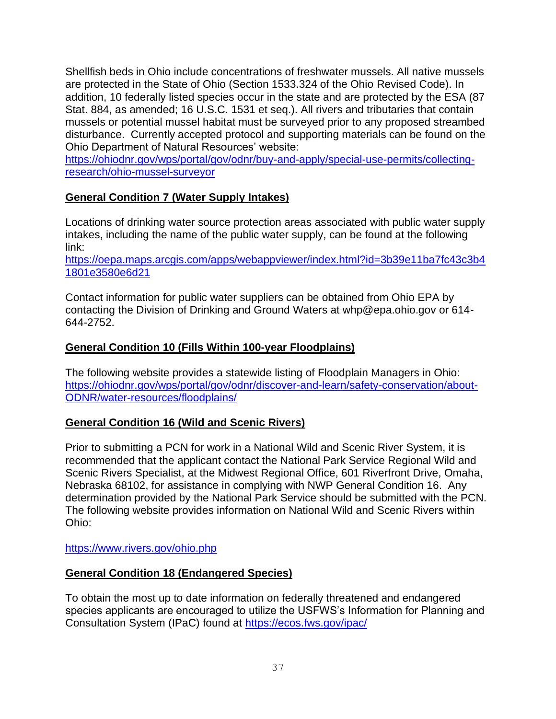Shellfish beds in Ohio include concentrations of freshwater mussels. All native mussels are protected in the State of Ohio (Section 1533.324 of the Ohio Revised Code). In addition, 10 federally listed species occur in the state and are protected by the ESA (87 Stat. 884, as amended; 16 U.S.C. 1531 et seq.). All rivers and tributaries that contain mussels or potential mussel habitat must be surveyed prior to any proposed streambed disturbance. Currently accepted protocol and supporting materials can be found on the Ohio Department of Natural Resources' website:

[https://ohiodnr.gov/wps/portal/gov/odnr/buy-and-apply/special-use-permits/collecting](https://ohiodnr.gov/wps/portal/gov/odnr/buy-and-apply/special-use-permits/collecting-research/ohio-mussel-surveyor)[research/ohio-mussel-surveyor](https://ohiodnr.gov/wps/portal/gov/odnr/buy-and-apply/special-use-permits/collecting-research/ohio-mussel-surveyor)

## **General Condition 7 (Water Supply Intakes)**

Locations of drinking water source protection areas associated with public water supply intakes, including the name of the public water supply, can be found at the following link:

[https://oepa.maps.arcgis.com/apps/webappviewer/index.html?id=3b39e11ba7fc43c3b4](https://oepa.maps.arcgis.com/apps/webappviewer/index.html?id=3b39e11ba7fc43c3b41801e3580e6d21) [1801e3580e6d21](https://oepa.maps.arcgis.com/apps/webappviewer/index.html?id=3b39e11ba7fc43c3b41801e3580e6d21)

Contact information for public water suppliers can be obtained from Ohio EPA by contacting the Division of Drinking and Ground Waters at whp@epa.ohio.gov or 614- 644-2752.

## **General Condition 10 (Fills Within 100-year Floodplains)**

The following website provides a statewide listing of Floodplain Managers in Ohio: [https://ohiodnr.gov/wps/portal/gov/odnr/discover-and-learn/safety-conservation/about-](https://ohiodnr.gov/wps/portal/gov/odnr/discover-and-learn/safety-conservation/about-ODNR/water-resources/floodplains/)[ODNR/water-resources/floodplains/](https://ohiodnr.gov/wps/portal/gov/odnr/discover-and-learn/safety-conservation/about-ODNR/water-resources/floodplains/)

## **General Condition 16 (Wild and Scenic Rivers)**

Prior to submitting a PCN for work in a National Wild and Scenic River System, it is recommended that the applicant contact the National Park Service Regional Wild and Scenic Rivers Specialist, at the Midwest Regional Office, 601 Riverfront Drive, Omaha, Nebraska 68102, for assistance in complying with NWP General Condition 16. Any determination provided by the National Park Service should be submitted with the PCN. The following website provides information on National Wild and Scenic Rivers within Ohio:

https://www.rivers.gov/ohio.php

## **General Condition 18 (Endangered Species)**

To obtain the most up to date information on federally threatened and endangered species applicants are encouraged to utilize the USFWS's Information for Planning and Consultation System (IPaC) found at<https://ecos.fws.gov/ipac/>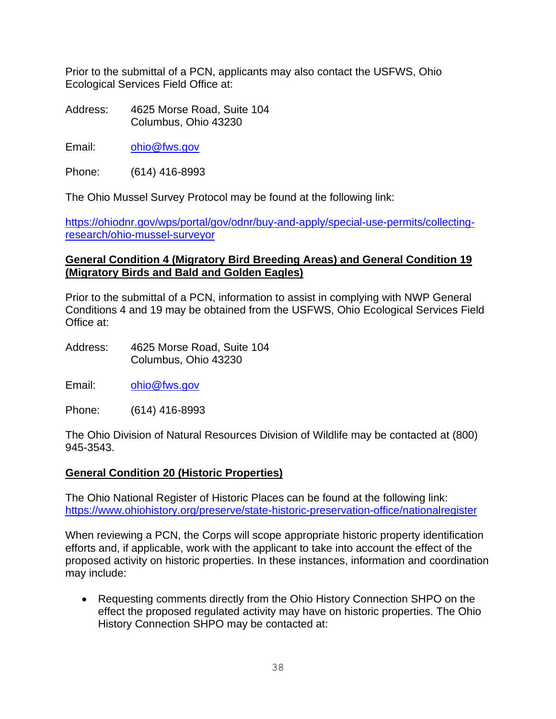Prior to the submittal of a PCN, applicants may also contact the USFWS, Ohio Ecological Services Field Office at:

Address: 4625 Morse Road, Suite 104 Columbus, Ohio 43230

Email: [ohio@fws.gov](mailto:ohio@fws.gov)

Phone: (614) 416-8993

The Ohio Mussel Survey Protocol may be found at the following link:

[https://ohiodnr.gov/wps/portal/gov/odnr/buy-and-apply/special-use-permits/collecting](https://ohiodnr.gov/wps/portal/gov/odnr/buy-and-apply/special-use-permits/collecting-research/ohio-mussel-surveyor)[research/ohio-mussel-surveyor](https://ohiodnr.gov/wps/portal/gov/odnr/buy-and-apply/special-use-permits/collecting-research/ohio-mussel-surveyor)

## **General Condition 4 (Migratory Bird Breeding Areas) and General Condition 19 (Migratory Birds and Bald and Golden Eagles)**

Prior to the submittal of a PCN, information to assist in complying with NWP General Conditions 4 and 19 may be obtained from the USFWS, Ohio Ecological Services Field Office at:

- Address: 4625 Morse Road, Suite 104 Columbus, Ohio 43230
- Email: [ohio@fws.gov](mailto:ohio@fws.gov)

Phone: (614) 416-8993

The Ohio Division of Natural Resources Division of Wildlife may be contacted at (800) 945-3543.

#### **General Condition 20 (Historic Properties)**

The Ohio National Register of Historic Places can be found at the following link: <https://www.ohiohistory.org/preserve/state-historic-preservation-office/nationalregister>

When reviewing a PCN, the Corps will scope appropriate historic property identification efforts and, if applicable, work with the applicant to take into account the effect of the proposed activity on historic properties. In these instances, information and coordination may include:

• Requesting comments directly from the Ohio History Connection SHPO on the effect the proposed regulated activity may have on historic properties. The Ohio History Connection SHPO may be contacted at: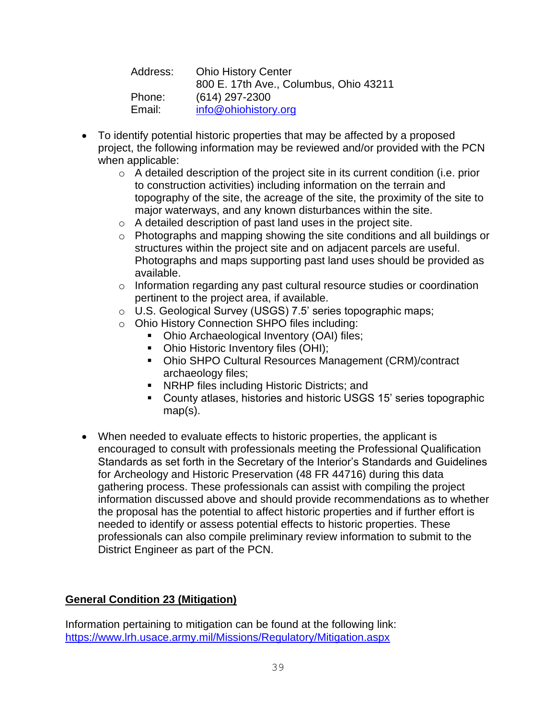| Address: | <b>Ohio History Center</b>             |  |
|----------|----------------------------------------|--|
|          | 800 E. 17th Ave., Columbus, Ohio 43211 |  |
| Phone:   | $(614)$ 297-2300                       |  |
| Email:   | info@ohiohistory.org                   |  |

- To identify potential historic properties that may be affected by a proposed project, the following information may be reviewed and/or provided with the PCN when applicable:
	- o A detailed description of the project site in its current condition (i.e. prior to construction activities) including information on the terrain and topography of the site, the acreage of the site, the proximity of the site to major waterways, and any known disturbances within the site.
	- $\circ$  A detailed description of past land uses in the project site.
	- o Photographs and mapping showing the site conditions and all buildings or structures within the project site and on adjacent parcels are useful. Photographs and maps supporting past land uses should be provided as available.
	- $\circ$  Information regarding any past cultural resource studies or coordination pertinent to the project area, if available.
	- o U.S. Geological Survey (USGS) 7.5' series topographic maps;
	- o Ohio History Connection SHPO files including:
		- Ohio Archaeological Inventory (OAI) files;
		- Ohio Historic Inventory files (OHI);
		- Ohio SHPO Cultural Resources Management (CRM)/contract archaeology files;
		- NRHP files including Historic Districts; and
		- County atlases, histories and historic USGS 15' series topographic map(s).
- When needed to evaluate effects to historic properties, the applicant is encouraged to consult with professionals meeting the Professional Qualification Standards as set forth in the Secretary of the Interior's Standards and Guidelines for Archeology and Historic Preservation (48 FR 44716) during this data gathering process. These professionals can assist with compiling the project information discussed above and should provide recommendations as to whether the proposal has the potential to affect historic properties and if further effort is needed to identify or assess potential effects to historic properties. These professionals can also compile preliminary review information to submit to the District Engineer as part of the PCN.

# **General Condition 23 (Mitigation)**

Information pertaining to mitigation can be found at the following link: <https://www.lrh.usace.army.mil/Missions/Regulatory/Mitigation.aspx>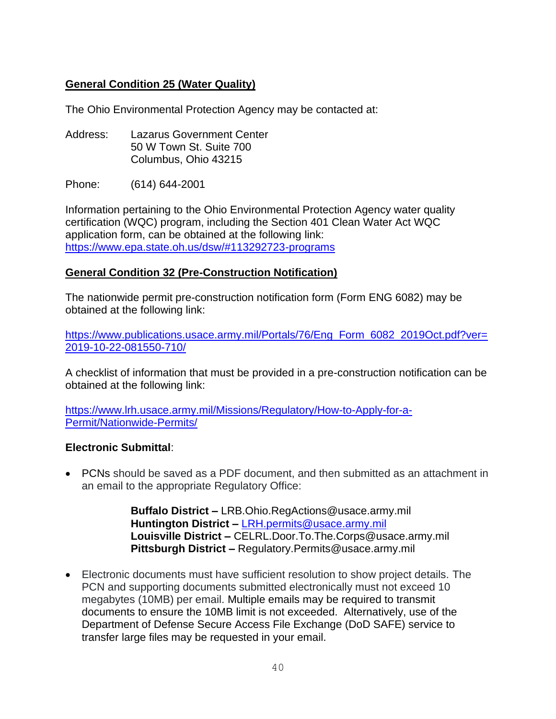## **General Condition 25 (Water Quality)**

The Ohio Environmental Protection Agency may be contacted at:

Address: Lazarus Government Center 50 W Town St. Suite 700 Columbus, Ohio 43215

Phone: (614) 644-2001

Information pertaining to the Ohio Environmental Protection Agency water quality certification (WQC) program, including the Section 401 Clean Water Act WQC application form, can be obtained at the following link: <https://www.epa.state.oh.us/dsw/#113292723-programs>

## **General Condition 32 (Pre-Construction Notification)**

The nationwide permit pre-construction notification form (Form ENG 6082) may be obtained at the following link:

[https://www.publications.usace.army.mil/Portals/76/Eng\\_Form\\_6082\\_2019Oct.pdf?ver=](https://www.publications.usace.army.mil/Portals/76/Eng_Form_6082_2019Oct.pdf?ver=2019-10-22-081550-710/) [2019-10-22-081550-710/](https://www.publications.usace.army.mil/Portals/76/Eng_Form_6082_2019Oct.pdf?ver=2019-10-22-081550-710/)

A checklist of information that must be provided in a pre-construction notification can be obtained at the following link:

[https://www.lrh.usace.army.mil/Missions/Regulatory/How-to-Apply-for-a-](https://www.lrh.usace.army.mil/Missions/Regulatory/How-to-Apply-for-a-Permit/Nationwide-Permits/)[Permit/Nationwide-Permits/](https://www.lrh.usace.army.mil/Missions/Regulatory/How-to-Apply-for-a-Permit/Nationwide-Permits/)

#### **Electronic Submittal**:

• PCNs should be saved as a PDF document, and then submitted as an attachment in an email to the appropriate Regulatory Office:

> **Buffalo District –** LRB.Ohio.RegActions@usace.army.mil **Huntington District –** [LRH.permits@usace.army.mil](mailto:LRH.permits@usace.army.mil) **Louisville District –** CELRL.Door.To.The.Corps@usace.army.mil **Pittsburgh District –** Regulatory.Permits@usace.army.mil

• Electronic documents must have sufficient resolution to show project details. The PCN and supporting documents submitted electronically must not exceed 10 megabytes (10MB) per email. Multiple emails may be required to transmit documents to ensure the 10MB limit is not exceeded. Alternatively, use of the Department of Defense Secure Access File Exchange (DoD SAFE) service to transfer large files may be requested in your email.